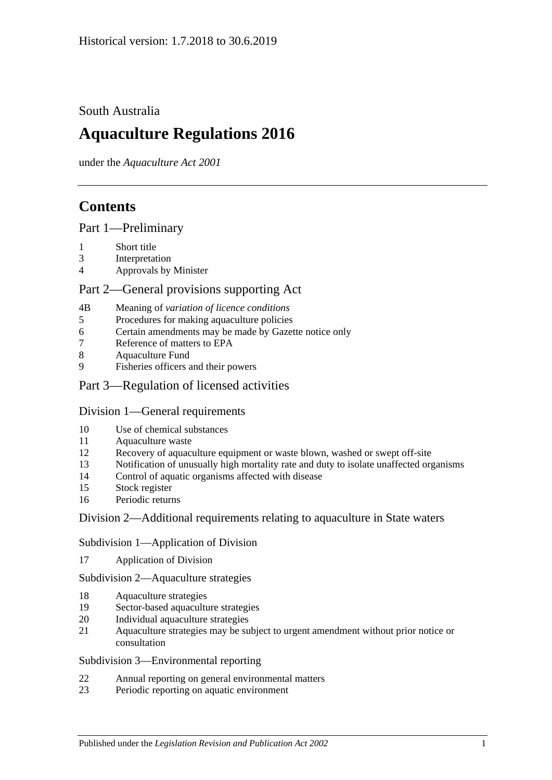## South Australia

# **Aquaculture Regulations 2016**

under the *Aquaculture Act 2001*

## **Contents**

#### Part [1—Preliminary](#page-2-0)

- 1 [Short title](#page-2-1)
- 3 [Interpretation](#page-2-2)
- 4 [Approvals by Minister](#page-3-0)

### Part [2—General provisions supporting Act](#page-3-1)

- 4B Meaning of *[variation of licence conditions](#page-3-2)*
- 5 Procedures [for making aquaculture policies](#page-4-0)
- 6 [Certain amendments may be made by Gazette notice only](#page-4-1)
- 7 [Reference of matters to EPA](#page-4-2)
- 8 [Aquaculture Fund](#page-4-3)
- 9 [Fisheries officers and their powers](#page-5-0)

## Part 3—Regulation of [licensed activities](#page-5-1)

### Division [1—General requirements](#page-5-2)

- 10 [Use of chemical substances](#page-5-3)
- 11 [Aquaculture waste](#page-6-0)
- 12 [Recovery of aquaculture equipment or waste blown, washed or swept off-site](#page-6-1)
- 13 [Notification of unusually high mortality rate and duty to isolate unaffected organisms](#page-6-2)
- 14 [Control of aquatic organisms affected with disease](#page-7-0)
- 15 [Stock register](#page-8-0)
- 16 [Periodic returns](#page-9-0)

### Division [2—Additional requirements relating to aquaculture in State waters](#page-10-0)

#### Subdivision [1—Application of Division](#page-10-1)

17 [Application of Division](#page-10-2)

#### Subdivision [2—Aquaculture strategies](#page-10-3)

- 18 [Aquaculture strategies](#page-10-4)
- 19 [Sector-based aquaculture strategies](#page-11-0)
- 20 [Individual aquaculture strategies](#page-11-1)
- 21 [Aquaculture strategies may be subject to urgent amendment without prior notice or](#page-11-2)  [consultation](#page-11-2)

#### Subdivision [3—Environmental reporting](#page-12-0)

- 22 [Annual reporting on general environmental matters](#page-12-1)
- 23 [Periodic reporting on aquatic environment](#page-13-0)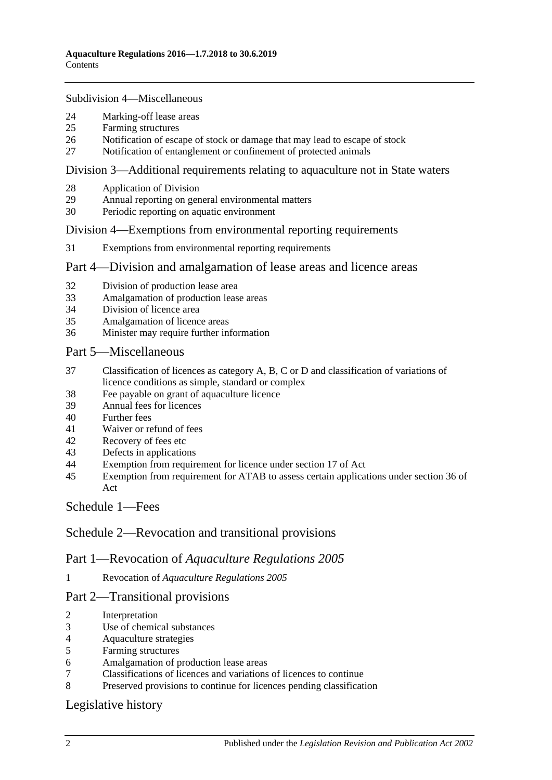#### Subdivision [4—Miscellaneous](#page-13-1)

- [Marking-off lease areas](#page-13-2)
- [Farming structures](#page-14-0)
- [Notification of escape of stock or damage that may lead to escape of stock](#page-14-1)
- [Notification of entanglement or confinement of protected animals](#page-15-0)

#### Division [3—Additional requirements relating to aquaculture not in State waters](#page-16-0)

- [Application of Division](#page-16-1)
- [Annual reporting on general environmental matters](#page-16-2)
- [Periodic reporting on aquatic environment](#page-17-0)

#### Division [4—Exemptions from environmental reporting requirements](#page-17-1)

[Exemptions from environmental reporting requirements](#page-17-2)

#### Part [4—Division and amalgamation of lease areas and licence areas](#page-18-0)

- [Division of production lease area](#page-18-1)
- [Amalgamation of production lease areas](#page-19-0)
- [Division of licence area](#page-20-0)
- [Amalgamation of licence areas](#page-21-0)
- [Minister may require further information](#page-21-1)

#### Part [5—Miscellaneous](#page-22-0)

- [Classification of licences as category A, B, C or D and classification of variations of](#page-22-1)  [licence conditions as simple, standard or complex](#page-22-1)
- [Fee payable on grant of aquaculture licence](#page-23-0)
- [Annual fees for licences](#page-23-1)
- [Further fees](#page-23-2)
- [Waiver or refund of fees](#page-23-3)
- [Recovery of fees etc](#page-23-4)
- [Defects in applications](#page-23-5)
- [Exemption from requirement for licence under section 17 of Act](#page-24-0)
- [Exemption from requirement for ATAB to assess certain applications under section](#page-24-1) 36 of [Act](#page-24-1)

### [Schedule](#page-24-2) 1—Fees

### Schedule [2—Revocation and transitional provisions](#page-27-0)

### Part 1—Revocation of *Aquaculture Regulations 2005*

Revocation of *[Aquaculture Regulations](#page-27-1) 2005*

### Part 2—Transitional provisions

- [Interpretation](#page-27-2)
- [Use of chemical substances](#page-27-3)
- [Aquaculture strategies](#page-27-4)
- [Farming structures](#page-28-0)
- [Amalgamation of production lease areas](#page-28-1)
- [Classifications of licences and variations of licences to continue](#page-28-2)
- [Preserved provisions to continue for licences pending classification](#page-28-3)

### [Legislative history](#page-29-0)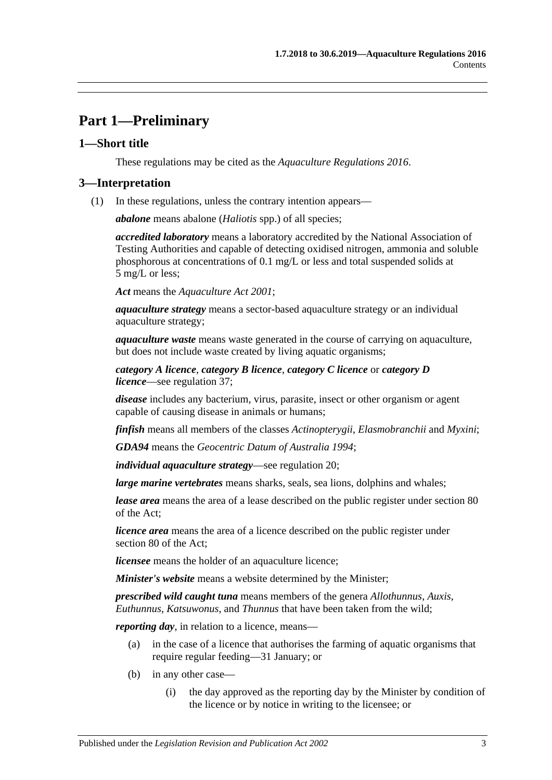## <span id="page-2-0"></span>**Part 1—Preliminary**

## <span id="page-2-1"></span>**1—Short title**

These regulations may be cited as the *Aquaculture Regulations 2016*.

## <span id="page-2-2"></span>**3—Interpretation**

(1) In these regulations, unless the contrary intention appears—

*abalone* means abalone (*Haliotis* spp.) of all species;

*accredited laboratory* means a laboratory accredited by the National Association of Testing Authorities and capable of detecting oxidised nitrogen, ammonia and soluble phosphorous at concentrations of 0.1 mg/L or less and total suspended solids at 5 mg/L or less;

*Act* means the *[Aquaculture Act](http://www.legislation.sa.gov.au/index.aspx?action=legref&type=act&legtitle=Aquaculture%20Act%202001) 2001*;

*aquaculture strategy* means a sector-based aquaculture strategy or an individual aquaculture strategy;

*aquaculture waste* means waste generated in the course of carrying on aquaculture, but does not include waste created by living aquatic organisms;

*category A licence*, *category B licence*, *category C licence* or *category D licence*—see [regulation](#page-22-1) 37;

*disease* includes any bacterium, virus, parasite, insect or other organism or agent capable of causing disease in animals or humans;

*finfish* means all members of the classes *Actinopterygii*, *Elasmobranchii* and *Myxini*;

*GDA94* means the *Geocentric Datum of Australia 1994*;

*individual aquaculture strategy*—see [regulation](#page-11-1) 20;

*large marine vertebrates* means sharks, seals, sea lions, dolphins and whales;

*lease area* means the area of a lease described on the public register under section 80 of the Act;

*licence area* means the area of a licence described on the public register under section 80 of the Act;

*licensee* means the holder of an aquaculture licence;

*Minister's website* means a website determined by the Minister;

*prescribed wild caught tuna* means members of the genera *Allothunnus*, *Auxis*, *Euthunnus*, *Katsuwonus*, and *Thunnus* that have been taken from the wild;

*reporting day*, in relation to a licence, means—

- (a) in the case of a licence that authorises the farming of aquatic organisms that require regular feeding—31 January; or
- (b) in any other case—
	- (i) the day approved as the reporting day by the Minister by condition of the licence or by notice in writing to the licensee; or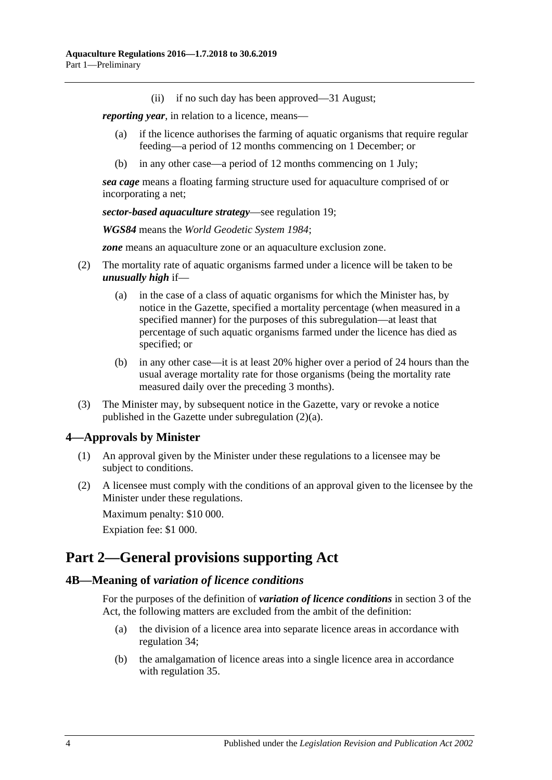(ii) if no such day has been approved—31 August;

*reporting year*, in relation to a licence, means—

- (a) if the licence authorises the farming of aquatic organisms that require regular feeding—a period of 12 months commencing on 1 December; or
- (b) in any other case—a period of 12 months commencing on 1 July;

*sea cage* means a floating farming structure used for aquaculture comprised of or incorporating a net;

*sector-based aquaculture strategy*—see [regulation](#page-11-0) 19;

*WGS84* means the *World Geodetic System 1984*;

*zone* means an aquaculture zone or an aquaculture exclusion zone.

- <span id="page-3-4"></span><span id="page-3-3"></span>(2) The mortality rate of aquatic organisms farmed under a licence will be taken to be *unusually high* if—
	- (a) in the case of a class of aquatic organisms for which the Minister has, by notice in the Gazette, specified a mortality percentage (when measured in a specified manner) for the purposes of this subregulation—at least that percentage of such aquatic organisms farmed under the licence has died as specified; or
	- (b) in any other case—it is at least 20% higher over a period of 24 hours than the usual average mortality rate for those organisms (being the mortality rate measured daily over the preceding 3 months).
- (3) The Minister may, by subsequent notice in the Gazette, vary or revoke a notice published in the Gazette under [subregulation](#page-3-3) (2)(a).

### <span id="page-3-0"></span>**4—Approvals by Minister**

- (1) An approval given by the Minister under these regulations to a licensee may be subject to conditions.
- (2) A licensee must comply with the conditions of an approval given to the licensee by the Minister under these regulations.

Maximum penalty: \$10 000.

Expiation fee: \$1 000.

## <span id="page-3-1"></span>**Part 2—General provisions supporting Act**

#### <span id="page-3-2"></span>**4B—Meaning of** *variation of licence conditions*

For the purposes of the definition of *variation of licence conditions* in section 3 of the Act, the following matters are excluded from the ambit of the definition:

- (a) the division of a licence area into separate licence areas in accordance with [regulation](#page-20-0) 34;
- (b) the amalgamation of licence areas into a single licence area in accordance with [regulation](#page-21-0) 35.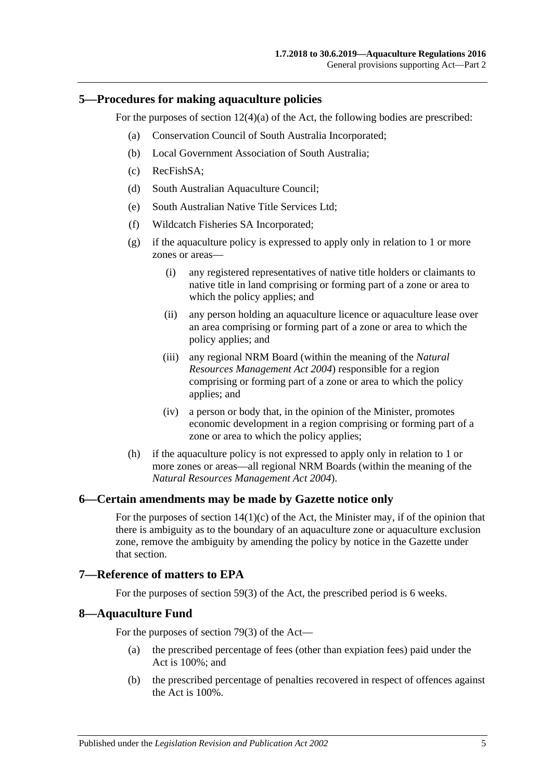#### <span id="page-4-0"></span>**5—Procedures for making aquaculture policies**

For the purposes of section  $12(4)(a)$  of the Act, the following bodies are prescribed:

- (a) Conservation Council of South Australia Incorporated;
- (b) Local Government Association of South Australia;
- (c) RecFishSA;
- (d) South Australian Aquaculture Council;
- (e) South Australian Native Title Services Ltd;
- (f) Wildcatch Fisheries SA Incorporated;
- (g) if the aquaculture policy is expressed to apply only in relation to 1 or more zones or areas—
	- (i) any registered representatives of native title holders or claimants to native title in land comprising or forming part of a zone or area to which the policy applies; and
	- (ii) any person holding an aquaculture licence or aquaculture lease over an area comprising or forming part of a zone or area to which the policy applies; and
	- (iii) any regional NRM Board (within the meaning of the *[Natural](http://www.legislation.sa.gov.au/index.aspx?action=legref&type=act&legtitle=Natural%20Resources%20Management%20Act%202004)  [Resources Management Act](http://www.legislation.sa.gov.au/index.aspx?action=legref&type=act&legtitle=Natural%20Resources%20Management%20Act%202004) 2004*) responsible for a region comprising or forming part of a zone or area to which the policy applies; and
	- (iv) a person or body that, in the opinion of the Minister, promotes economic development in a region comprising or forming part of a zone or area to which the policy applies;
- (h) if the aquaculture policy is not expressed to apply only in relation to 1 or more zones or areas—all regional NRM Boards (within the meaning of the *[Natural Resources Management Act](http://www.legislation.sa.gov.au/index.aspx?action=legref&type=act&legtitle=Natural%20Resources%20Management%20Act%202004) 2004*).

#### <span id="page-4-1"></span>**6—Certain amendments may be made by Gazette notice only**

For the purposes of section  $14(1)(c)$  of the Act, the Minister may, if of the opinion that there is ambiguity as to the boundary of an aquaculture zone or aquaculture exclusion zone, remove the ambiguity by amending the policy by notice in the Gazette under that section.

#### <span id="page-4-2"></span>**7—Reference of matters to EPA**

For the purposes of section 59(3) of the Act, the prescribed period is 6 weeks.

#### <span id="page-4-3"></span>**8—Aquaculture Fund**

For the purposes of section 79(3) of the Act—

- (a) the prescribed percentage of fees (other than expiation fees) paid under the Act is 100%; and
- (b) the prescribed percentage of penalties recovered in respect of offences against the Act is 100%.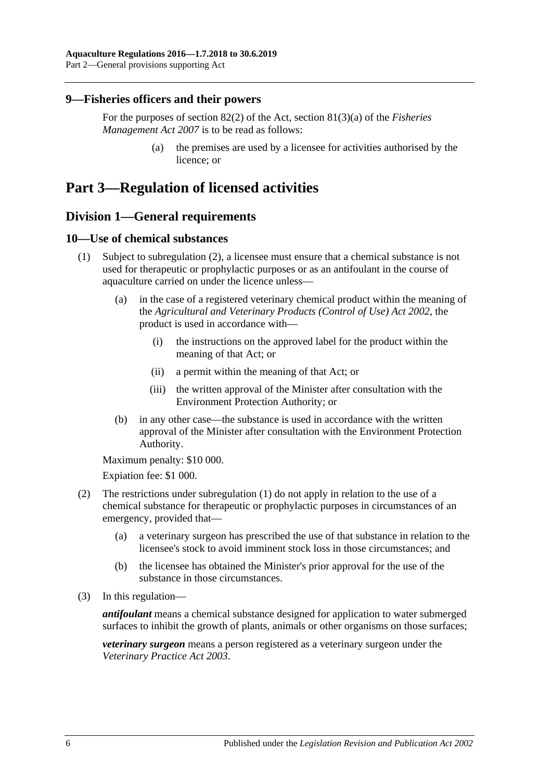#### <span id="page-5-0"></span>**9—Fisheries officers and their powers**

For the purposes of section 82(2) of the Act, section 81(3)(a) of the *[Fisheries](http://www.legislation.sa.gov.au/index.aspx?action=legref&type=act&legtitle=Fisheries%20Management%20Act%202007)  [Management Act](http://www.legislation.sa.gov.au/index.aspx?action=legref&type=act&legtitle=Fisheries%20Management%20Act%202007) 2007* is to be read as follows:

> (a) the premises are used by a licensee for activities authorised by the licence; or

## <span id="page-5-2"></span><span id="page-5-1"></span>**Part 3—Regulation of licensed activities**

## **Division 1—General requirements**

### <span id="page-5-5"></span><span id="page-5-3"></span>**10—Use of chemical substances**

- (1) Subject to [subregulation](#page-5-4) (2), a licensee must ensure that a chemical substance is not used for therapeutic or prophylactic purposes or as an antifoulant in the course of aquaculture carried on under the licence unless—
	- (a) in the case of a registered veterinary chemical product within the meaning of the *[Agricultural and Veterinary Products \(Control of Use\) Act](http://www.legislation.sa.gov.au/index.aspx?action=legref&type=act&legtitle=Agricultural%20and%20Veterinary%20Products%20(Control%20of%20Use)%20Act%202002) 2002*, the product is used in accordance with—
		- (i) the instructions on the approved label for the product within the meaning of that Act; or
		- (ii) a permit within the meaning of that Act; or
		- (iii) the written approval of the Minister after consultation with the Environment Protection Authority; or
	- (b) in any other case—the substance is used in accordance with the written approval of the Minister after consultation with the Environment Protection Authority.

<span id="page-5-6"></span>Maximum penalty: \$10 000.

Expiation fee: \$1 000.

- <span id="page-5-4"></span>(2) The restrictions under [subregulation](#page-5-5) (1) do not apply in relation to the use of a chemical substance for therapeutic or prophylactic purposes in circumstances of an emergency, provided that—
	- (a) a veterinary surgeon has prescribed the use of that substance in relation to the licensee's stock to avoid imminent stock loss in those circumstances; and
	- (b) the licensee has obtained the Minister's prior approval for the use of the substance in those circumstances.
- (3) In this regulation—

*antifoulant* means a chemical substance designed for application to water submerged surfaces to inhibit the growth of plants, animals or other organisms on those surfaces;

*veterinary surgeon* means a person registered as a veterinary surgeon under the *[Veterinary Practice Act](http://www.legislation.sa.gov.au/index.aspx?action=legref&type=act&legtitle=Veterinary%20Practice%20Act%202003) 2003*.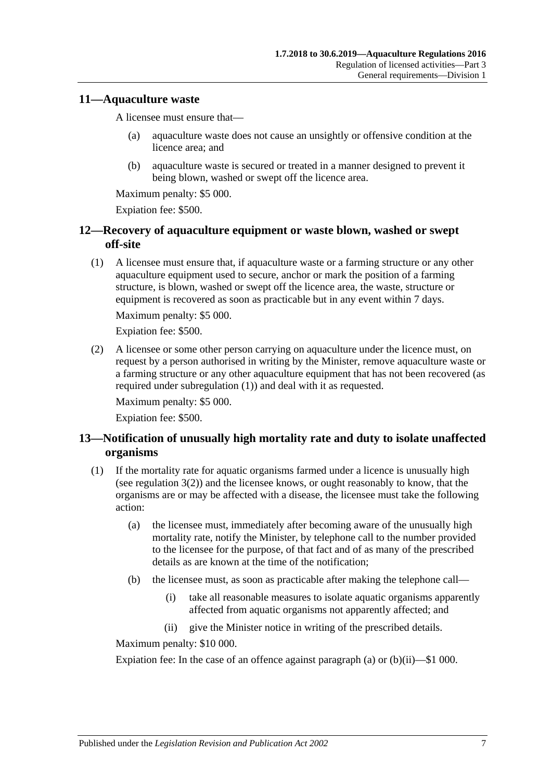#### <span id="page-6-0"></span>**11—Aquaculture waste**

A licensee must ensure that—

- (a) aquaculture waste does not cause an unsightly or offensive condition at the licence area; and
- (b) aquaculture waste is secured or treated in a manner designed to prevent it being blown, washed or swept off the licence area.

Maximum penalty: \$5 000.

Expiation fee: \$500.

## <span id="page-6-1"></span>**12—Recovery of aquaculture equipment or waste blown, washed or swept off-site**

<span id="page-6-3"></span>(1) A licensee must ensure that, if aquaculture waste or a farming structure or any other aquaculture equipment used to secure, anchor or mark the position of a farming structure, is blown, washed or swept off the licence area, the waste, structure or equipment is recovered as soon as practicable but in any event within 7 days.

Maximum penalty: \$5 000.

Expiation fee: \$500.

(2) A licensee or some other person carrying on aquaculture under the licence must, on request by a person authorised in writing by the Minister, remove aquaculture waste or a farming structure or any other aquaculture equipment that has not been recovered (as required under [subregulation](#page-6-3) (1)) and deal with it as requested.

Maximum penalty: \$5 000.

Expiation fee: \$500.

## <span id="page-6-2"></span>**13—Notification of unusually high mortality rate and duty to isolate unaffected organisms**

- <span id="page-6-6"></span><span id="page-6-4"></span>(1) If the mortality rate for aquatic organisms farmed under a licence is unusually high (see [regulation](#page-3-4) 3(2)) and the licensee knows, or ought reasonably to know, that the organisms are or may be affected with a disease, the licensee must take the following action:
	- (a) the licensee must, immediately after becoming aware of the unusually high mortality rate, notify the Minister, by telephone call to the number provided to the licensee for the purpose, of that fact and of as many of the prescribed details as are known at the time of the notification;
	- (b) the licensee must, as soon as practicable after making the telephone call—
		- (i) take all reasonable measures to isolate aquatic organisms apparently affected from aquatic organisms not apparently affected; and
		- (ii) give the Minister notice in writing of the prescribed details.

<span id="page-6-5"></span>Maximum penalty: \$10 000.

Expiation fee: In the case of an offence against [paragraph](#page-6-4) (a) or  $(b)(ii)$ —\$1 000.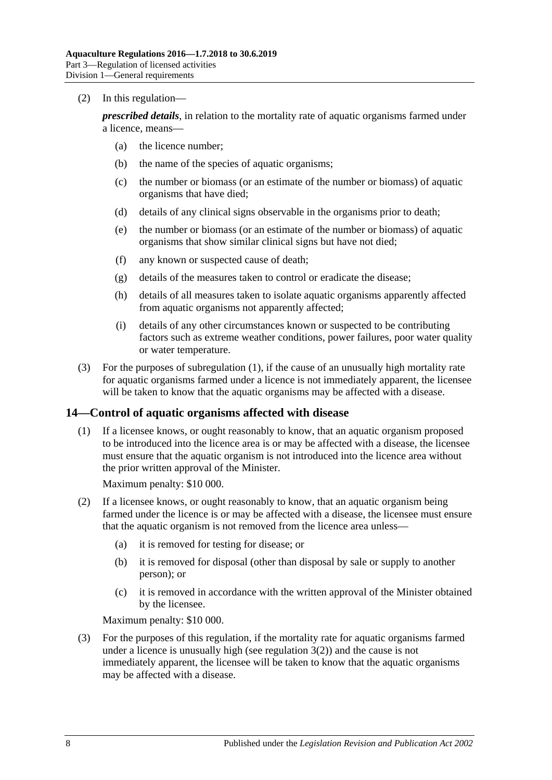(2) In this regulation—

*prescribed details*, in relation to the mortality rate of aquatic organisms farmed under a licence, means—

- (a) the licence number;
- (b) the name of the species of aquatic organisms;
- (c) the number or biomass (or an estimate of the number or biomass) of aquatic organisms that have died;
- (d) details of any clinical signs observable in the organisms prior to death;
- (e) the number or biomass (or an estimate of the number or biomass) of aquatic organisms that show similar clinical signs but have not died;
- (f) any known or suspected cause of death;
- (g) details of the measures taken to control or eradicate the disease;
- (h) details of all measures taken to isolate aquatic organisms apparently affected from aquatic organisms not apparently affected;
- (i) details of any other circumstances known or suspected to be contributing factors such as extreme weather conditions, power failures, poor water quality or water temperature.
- (3) For the purposes of [subregulation](#page-6-6) (1), if the cause of an unusually high mortality rate for aquatic organisms farmed under a licence is not immediately apparent, the licensee will be taken to know that the aquatic organisms may be affected with a disease.

### <span id="page-7-0"></span>**14—Control of aquatic organisms affected with disease**

(1) If a licensee knows, or ought reasonably to know, that an aquatic organism proposed to be introduced into the licence area is or may be affected with a disease, the licensee must ensure that the aquatic organism is not introduced into the licence area without the prior written approval of the Minister.

Maximum penalty: \$10 000.

- (2) If a licensee knows, or ought reasonably to know, that an aquatic organism being farmed under the licence is or may be affected with a disease, the licensee must ensure that the aquatic organism is not removed from the licence area unless—
	- (a) it is removed for testing for disease; or
	- (b) it is removed for disposal (other than disposal by sale or supply to another person); or
	- (c) it is removed in accordance with the written approval of the Minister obtained by the licensee.

Maximum penalty: \$10 000.

(3) For the purposes of this regulation, if the mortality rate for aquatic organisms farmed under a licence is unusually high (see [regulation](#page-3-4)  $3(2)$ ) and the cause is not immediately apparent, the licensee will be taken to know that the aquatic organisms may be affected with a disease.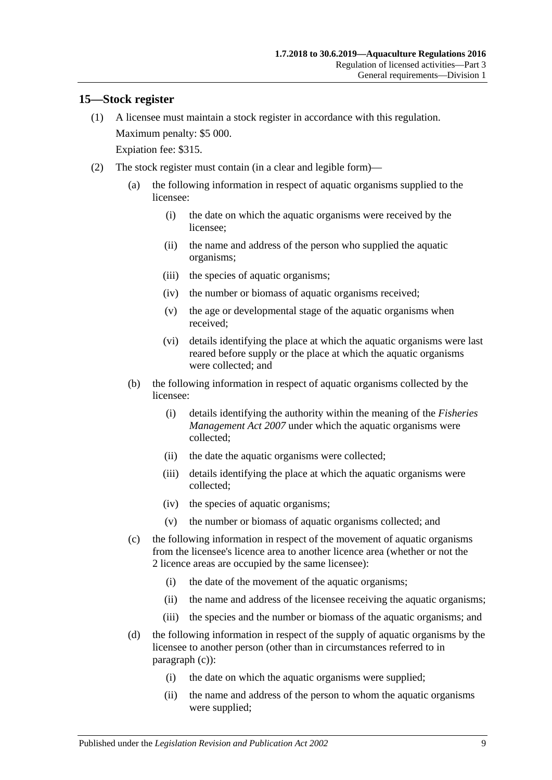### <span id="page-8-0"></span>**15—Stock register**

- (1) A licensee must maintain a stock register in accordance with this regulation. Maximum penalty: \$5 000. Expiation fee: \$315.
- <span id="page-8-1"></span>(2) The stock register must contain (in a clear and legible form)—
	- (a) the following information in respect of aquatic organisms supplied to the licensee:
		- (i) the date on which the aquatic organisms were received by the licensee;
		- (ii) the name and address of the person who supplied the aquatic organisms;
		- (iii) the species of aquatic organisms;
		- (iv) the number or biomass of aquatic organisms received;
		- (v) the age or developmental stage of the aquatic organisms when received;
		- (vi) details identifying the place at which the aquatic organisms were last reared before supply or the place at which the aquatic organisms were collected; and
	- (b) the following information in respect of aquatic organisms collected by the licensee:
		- (i) details identifying the authority within the meaning of the *[Fisheries](http://www.legislation.sa.gov.au/index.aspx?action=legref&type=act&legtitle=Fisheries%20Management%20Act%202007)  [Management Act](http://www.legislation.sa.gov.au/index.aspx?action=legref&type=act&legtitle=Fisheries%20Management%20Act%202007) 2007* under which the aquatic organisms were collected;
		- (ii) the date the aquatic organisms were collected;
		- (iii) details identifying the place at which the aquatic organisms were collected;
		- (iv) the species of aquatic organisms;
		- (v) the number or biomass of aquatic organisms collected; and
	- (c) the following information in respect of the movement of aquatic organisms from the licensee's licence area to another licence area (whether or not the 2 licence areas are occupied by the same licensee):
		- (i) the date of the movement of the aquatic organisms;
		- (ii) the name and address of the licensee receiving the aquatic organisms;
		- (iii) the species and the number or biomass of the aquatic organisms; and
	- (d) the following information in respect of the supply of aquatic organisms by the licensee to another person (other than in circumstances referred to in [paragraph](#page-8-1) (c)):
		- (i) the date on which the aquatic organisms were supplied;
		- (ii) the name and address of the person to whom the aquatic organisms were supplied;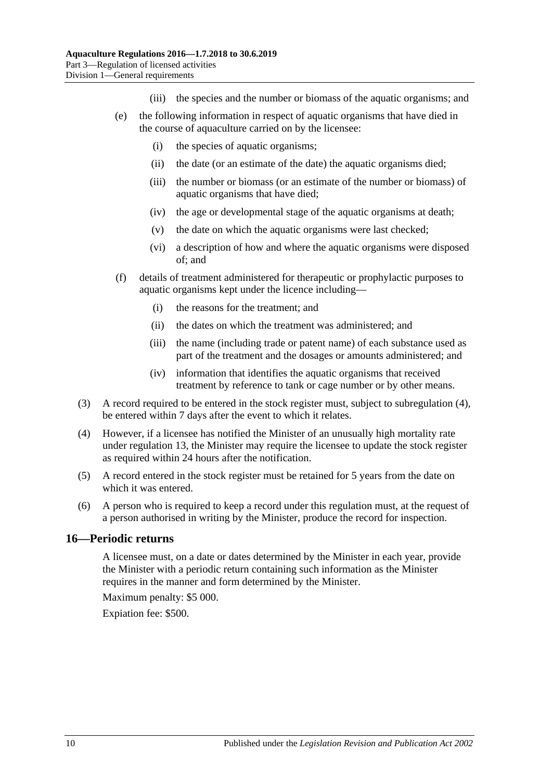- (iii) the species and the number or biomass of the aquatic organisms; and
- (e) the following information in respect of aquatic organisms that have died in the course of aquaculture carried on by the licensee:
	- (i) the species of aquatic organisms;
	- (ii) the date (or an estimate of the date) the aquatic organisms died;
	- (iii) the number or biomass (or an estimate of the number or biomass) of aquatic organisms that have died;
	- (iv) the age or developmental stage of the aquatic organisms at death;
	- (v) the date on which the aquatic organisms were last checked;
	- (vi) a description of how and where the aquatic organisms were disposed of; and
- (f) details of treatment administered for therapeutic or prophylactic purposes to aquatic organisms kept under the licence including—
	- (i) the reasons for the treatment; and
	- (ii) the dates on which the treatment was administered; and
	- (iii) the name (including trade or patent name) of each substance used as part of the treatment and the dosages or amounts administered; and
	- (iv) information that identifies the aquatic organisms that received treatment by reference to tank or cage number or by other means.
- (3) A record required to be entered in the stock register must, subject to [subregulation](#page-9-1) (4), be entered within 7 days after the event to which it relates.
- <span id="page-9-1"></span>(4) However, if a licensee has notified the Minister of an unusually high mortality rate under [regulation](#page-6-2) 13, the Minister may require the licensee to update the stock register as required within 24 hours after the notification.
- (5) A record entered in the stock register must be retained for 5 years from the date on which it was entered.
- (6) A person who is required to keep a record under this regulation must, at the request of a person authorised in writing by the Minister, produce the record for inspection.

#### <span id="page-9-0"></span>**16—Periodic returns**

A licensee must, on a date or dates determined by the Minister in each year, provide the Minister with a periodic return containing such information as the Minister requires in the manner and form determined by the Minister.

Maximum penalty: \$5 000.

Expiation fee: \$500.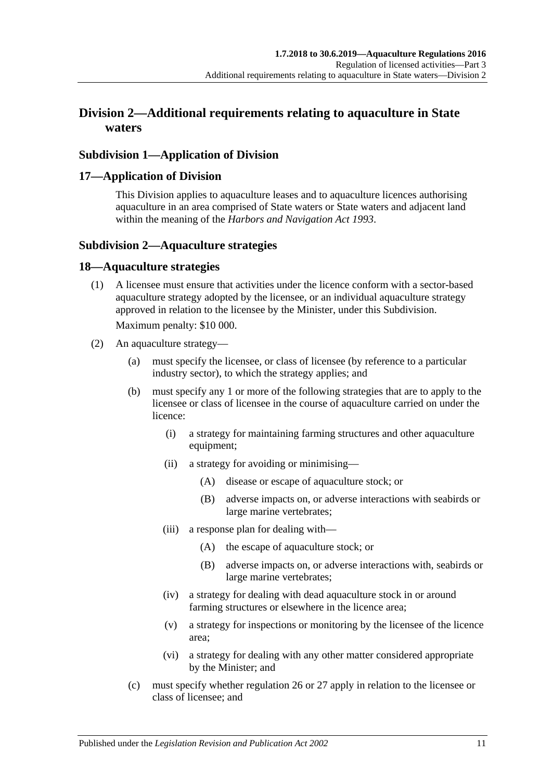## <span id="page-10-0"></span>**Division 2—Additional requirements relating to aquaculture in State waters**

## <span id="page-10-1"></span>**Subdivision 1—Application of Division**

#### <span id="page-10-2"></span>**17—Application of Division**

This Division applies to aquaculture leases and to aquaculture licences authorising aquaculture in an area comprised of State waters or State waters and adjacent land within the meaning of the *[Harbors and Navigation Act](http://www.legislation.sa.gov.au/index.aspx?action=legref&type=act&legtitle=Harbors%20and%20Navigation%20Act%201993) 1993*.

### <span id="page-10-3"></span>**Subdivision 2—Aquaculture strategies**

#### <span id="page-10-4"></span>**18—Aquaculture strategies**

(1) A licensee must ensure that activities under the licence conform with a sector-based aquaculture strategy adopted by the licensee, or an individual aquaculture strategy approved in relation to the licensee by the Minister, under this Subdivision.

Maximum penalty: \$10 000.

- (2) An aquaculture strategy—
	- (a) must specify the licensee, or class of licensee (by reference to a particular industry sector), to which the strategy applies; and
	- (b) must specify any 1 or more of the following strategies that are to apply to the licensee or class of licensee in the course of aquaculture carried on under the licence:
		- (i) a strategy for maintaining farming structures and other aquaculture equipment;
		- (ii) a strategy for avoiding or minimising—
			- (A) disease or escape of aquaculture stock; or
			- (B) adverse impacts on, or adverse interactions with seabirds or large marine vertebrates;
		- (iii) a response plan for dealing with—
			- (A) the escape of aquaculture stock; or
			- (B) adverse impacts on, or adverse interactions with, seabirds or large marine vertebrates;
		- (iv) a strategy for dealing with dead aquaculture stock in or around farming structures or elsewhere in the licence area;
		- (v) a strategy for inspections or monitoring by the licensee of the licence area;
		- (vi) a strategy for dealing with any other matter considered appropriate by the Minister; and
	- (c) must specify whether [regulation](#page-14-1) 26 or [27](#page-15-0) apply in relation to the licensee or class of licensee; and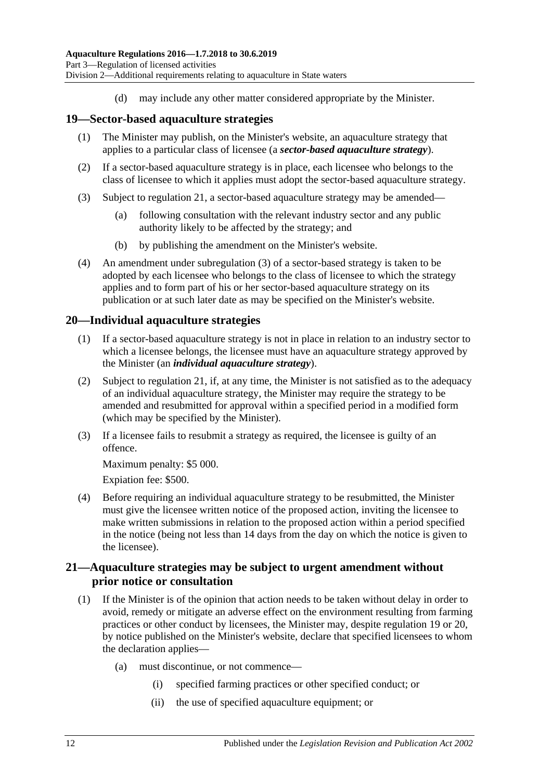(d) may include any other matter considered appropriate by the Minister.

#### <span id="page-11-0"></span>**19—Sector-based aquaculture strategies**

- (1) The Minister may publish, on the Minister's website, an aquaculture strategy that applies to a particular class of licensee (a *sector-based aquaculture strategy*).
- (2) If a sector-based aquaculture strategy is in place, each licensee who belongs to the class of licensee to which it applies must adopt the sector-based aquaculture strategy.
- <span id="page-11-3"></span>(3) Subject to [regulation](#page-11-2) 21, a sector-based aquaculture strategy may be amended—
	- (a) following consultation with the relevant industry sector and any public authority likely to be affected by the strategy; and
	- (b) by publishing the amendment on the Minister's website.
- (4) An amendment under [subregulation](#page-11-3) (3) of a sector-based strategy is taken to be adopted by each licensee who belongs to the class of licensee to which the strategy applies and to form part of his or her sector-based aquaculture strategy on its publication or at such later date as may be specified on the Minister's website.

#### <span id="page-11-1"></span>**20—Individual aquaculture strategies**

- (1) If a sector-based aquaculture strategy is not in place in relation to an industry sector to which a licensee belongs, the licensee must have an aquaculture strategy approved by the Minister (an *individual aquaculture strategy*).
- (2) Subject to [regulation](#page-11-2) 21, if, at any time, the Minister is not satisfied as to the adequacy of an individual aquaculture strategy, the Minister may require the strategy to be amended and resubmitted for approval within a specified period in a modified form (which may be specified by the Minister).
- (3) If a licensee fails to resubmit a strategy as required, the licensee is guilty of an offence.

Maximum penalty: \$5 000.

Expiation fee: \$500.

(4) Before requiring an individual aquaculture strategy to be resubmitted, the Minister must give the licensee written notice of the proposed action, inviting the licensee to make written submissions in relation to the proposed action within a period specified in the notice (being not less than 14 days from the day on which the notice is given to the licensee).

### <span id="page-11-2"></span>**21—Aquaculture strategies may be subject to urgent amendment without prior notice or consultation**

- <span id="page-11-4"></span>(1) If the Minister is of the opinion that action needs to be taken without delay in order to avoid, remedy or mitigate an adverse effect on the environment resulting from farming practices or other conduct by licensees, the Minister may, despite [regulation](#page-11-0) 19 or [20,](#page-11-1) by notice published on the Minister's website, declare that specified licensees to whom the declaration applies—
	- (a) must discontinue, or not commence—
		- (i) specified farming practices or other specified conduct; or
		- (ii) the use of specified aquaculture equipment; or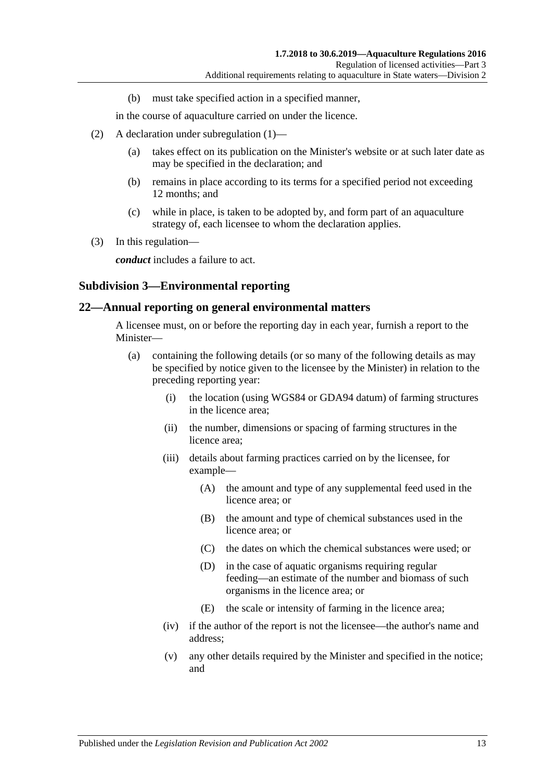(b) must take specified action in a specified manner,

in the course of aquaculture carried on under the licence.

- (2) A declaration under [subregulation](#page-11-4) (1)—
	- (a) takes effect on its publication on the Minister's website or at such later date as may be specified in the declaration; and
	- (b) remains in place according to its terms for a specified period not exceeding 12 months; and
	- (c) while in place, is taken to be adopted by, and form part of an aquaculture strategy of, each licensee to whom the declaration applies.
- (3) In this regulation—

*conduct* includes a failure to act.

#### <span id="page-12-0"></span>**Subdivision 3—Environmental reporting**

#### <span id="page-12-1"></span>**22—Annual reporting on general environmental matters**

A licensee must, on or before the reporting day in each year, furnish a report to the Minister—

- (a) containing the following details (or so many of the following details as may be specified by notice given to the licensee by the Minister) in relation to the preceding reporting year:
	- (i) the location (using WGS84 or GDA94 datum) of farming structures in the licence area;
	- (ii) the number, dimensions or spacing of farming structures in the licence area;
	- (iii) details about farming practices carried on by the licensee, for example—
		- (A) the amount and type of any supplemental feed used in the licence area; or
		- (B) the amount and type of chemical substances used in the licence area; or
		- (C) the dates on which the chemical substances were used; or
		- (D) in the case of aquatic organisms requiring regular feeding—an estimate of the number and biomass of such organisms in the licence area; or
		- (E) the scale or intensity of farming in the licence area;
	- (iv) if the author of the report is not the licensee—the author's name and address;
	- (v) any other details required by the Minister and specified in the notice; and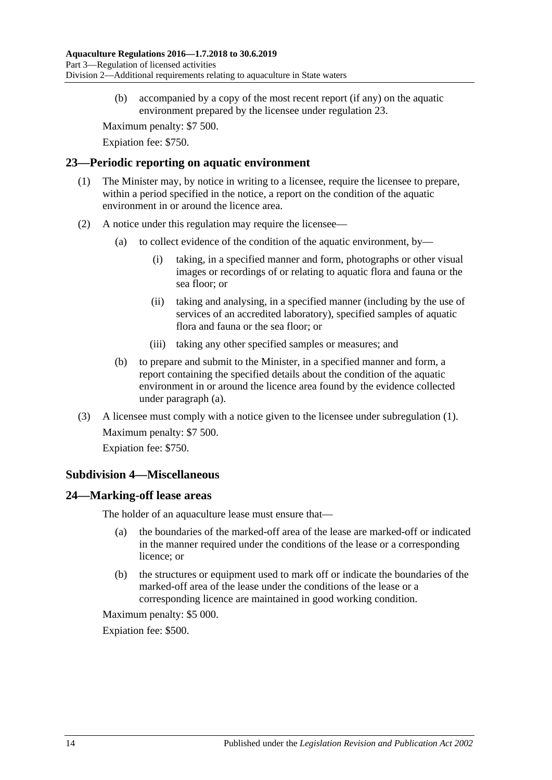(b) accompanied by a copy of the most recent report (if any) on the aquatic environment prepared by the licensee under [regulation](#page-13-0) 23.

Maximum penalty: \$7 500.

Expiation fee: \$750.

#### <span id="page-13-4"></span><span id="page-13-0"></span>**23—Periodic reporting on aquatic environment**

- (1) The Minister may, by notice in writing to a licensee, require the licensee to prepare, within a period specified in the notice, a report on the condition of the aquatic environment in or around the licence area.
- <span id="page-13-3"></span>(2) A notice under this regulation may require the licensee—
	- (a) to collect evidence of the condition of the aquatic environment, by—
		- (i) taking, in a specified manner and form, photographs or other visual images or recordings of or relating to aquatic flora and fauna or the sea floor; or
		- (ii) taking and analysing, in a specified manner (including by the use of services of an accredited laboratory), specified samples of aquatic flora and fauna or the sea floor; or
		- (iii) taking any other specified samples or measures; and
	- (b) to prepare and submit to the Minister, in a specified manner and form, a report containing the specified details about the condition of the aquatic environment in or around the licence area found by the evidence collected under [paragraph](#page-13-3) (a).
- (3) A licensee must comply with a notice given to the licensee under [subregulation](#page-13-4) (1). Maximum penalty: \$7 500. Expiation fee: \$750.

### <span id="page-13-1"></span>**Subdivision 4—Miscellaneous**

### <span id="page-13-2"></span>**24—Marking-off lease areas**

The holder of an aquaculture lease must ensure that—

- (a) the boundaries of the marked-off area of the lease are marked-off or indicated in the manner required under the conditions of the lease or a corresponding licence; or
- (b) the structures or equipment used to mark off or indicate the boundaries of the marked-off area of the lease under the conditions of the lease or a corresponding licence are maintained in good working condition.

Maximum penalty: \$5 000.

Expiation fee: \$500.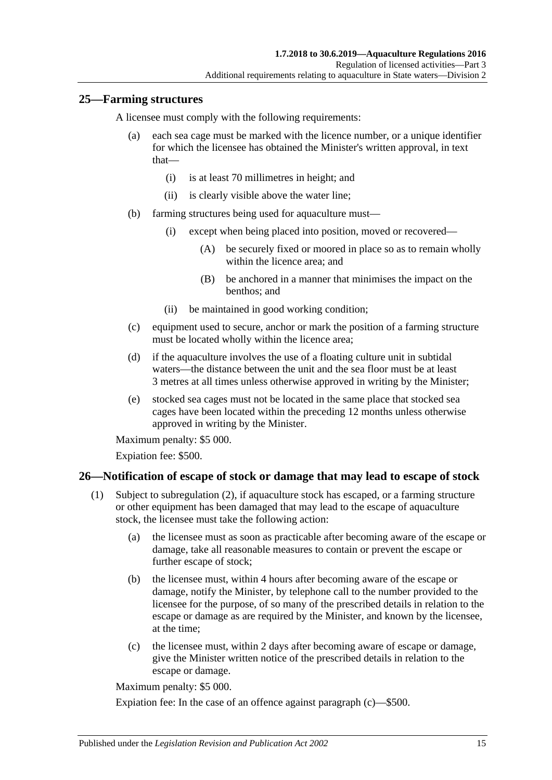### <span id="page-14-0"></span>**25—Farming structures**

A licensee must comply with the following requirements:

- (a) each sea cage must be marked with the licence number, or a unique identifier for which the licensee has obtained the Minister's written approval, in text that—
	- (i) is at least 70 millimetres in height; and
	- (ii) is clearly visible above the water line;
- (b) farming structures being used for aquaculture must—
	- (i) except when being placed into position, moved or recovered—
		- (A) be securely fixed or moored in place so as to remain wholly within the licence area; and
		- (B) be anchored in a manner that minimises the impact on the benthos; and
	- (ii) be maintained in good working condition;
- (c) equipment used to secure, anchor or mark the position of a farming structure must be located wholly within the licence area;
- <span id="page-14-4"></span>(d) if the aquaculture involves the use of a floating culture unit in subtidal waters—the distance between the unit and the sea floor must be at least 3 metres at all times unless otherwise approved in writing by the Minister;
- (e) stocked sea cages must not be located in the same place that stocked sea cages have been located within the preceding 12 months unless otherwise approved in writing by the Minister.

Maximum penalty: \$5 000.

Expiation fee: \$500.

## <span id="page-14-3"></span><span id="page-14-1"></span>**26—Notification of escape of stock or damage that may lead to escape of stock**

- (1) Subject to [subregulation](#page-15-1) (2), if aquaculture stock has escaped, or a farming structure or other equipment has been damaged that may lead to the escape of aquaculture stock, the licensee must take the following action:
	- (a) the licensee must as soon as practicable after becoming aware of the escape or damage, take all reasonable measures to contain or prevent the escape or further escape of stock;
	- (b) the licensee must, within 4 hours after becoming aware of the escape or damage, notify the Minister, by telephone call to the number provided to the licensee for the purpose, of so many of the prescribed details in relation to the escape or damage as are required by the Minister, and known by the licensee, at the time;
	- (c) the licensee must, within 2 days after becoming aware of escape or damage, give the Minister written notice of the prescribed details in relation to the escape or damage.

<span id="page-14-2"></span>Maximum penalty: \$5 000.

Expiation fee: In the case of an offence against [paragraph](#page-14-2) (c)—\$500.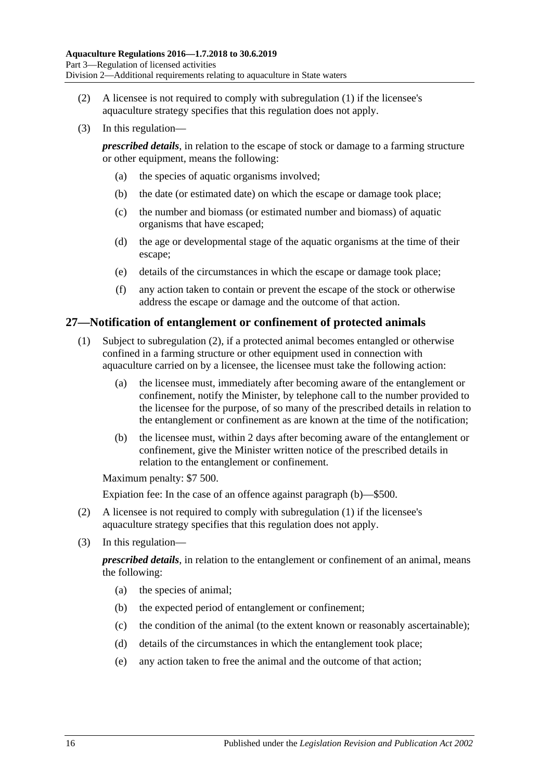- <span id="page-15-1"></span>(2) A licensee is not required to comply with [subregulation](#page-14-3) (1) if the licensee's aquaculture strategy specifies that this regulation does not apply.
- (3) In this regulation—

*prescribed details*, in relation to the escape of stock or damage to a farming structure or other equipment, means the following:

- (a) the species of aquatic organisms involved;
- (b) the date (or estimated date) on which the escape or damage took place;
- (c) the number and biomass (or estimated number and biomass) of aquatic organisms that have escaped;
- (d) the age or developmental stage of the aquatic organisms at the time of their escape;
- (e) details of the circumstances in which the escape or damage took place;
- (f) any action taken to contain or prevent the escape of the stock or otherwise address the escape or damage and the outcome of that action.

#### <span id="page-15-0"></span>**27—Notification of entanglement or confinement of protected animals**

- (1) Subject to [subregulation](#page-15-2) (2), if a protected animal becomes entangled or otherwise confined in a farming structure or other equipment used in connection with aquaculture carried on by a licensee, the licensee must take the following action:
	- (a) the licensee must, immediately after becoming aware of the entanglement or confinement, notify the Minister, by telephone call to the number provided to the licensee for the purpose, of so many of the prescribed details in relation to the entanglement or confinement as are known at the time of the notification;
	- (b) the licensee must, within 2 days after becoming aware of the entanglement or confinement, give the Minister written notice of the prescribed details in relation to the entanglement or confinement.

<span id="page-15-3"></span>Maximum penalty: \$7 500.

Expiation fee: In the case of an offence against [paragraph](#page-15-3) (b)—\$500.

- <span id="page-15-2"></span>(2) A licensee is not required to comply with [subregulation](#page-14-3) (1) if the licensee's aquaculture strategy specifies that this regulation does not apply.
- (3) In this regulation—

*prescribed details*, in relation to the entanglement or confinement of an animal, means the following:

- (a) the species of animal;
- (b) the expected period of entanglement or confinement;
- (c) the condition of the animal (to the extent known or reasonably ascertainable);
- (d) details of the circumstances in which the entanglement took place;
- (e) any action taken to free the animal and the outcome of that action;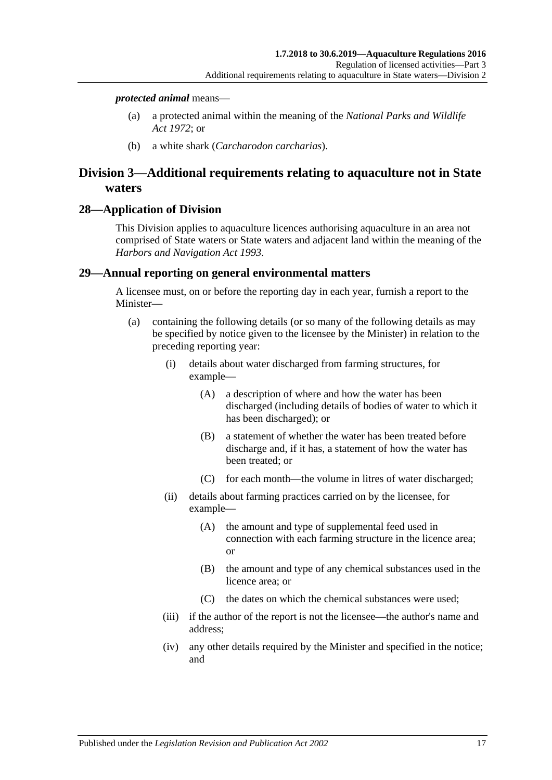#### *protected animal* means—

- (a) a protected animal within the meaning of the *[National Parks and Wildlife](http://www.legislation.sa.gov.au/index.aspx?action=legref&type=act&legtitle=National%20Parks%20and%20Wildlife%20Act%201972)  Act [1972](http://www.legislation.sa.gov.au/index.aspx?action=legref&type=act&legtitle=National%20Parks%20and%20Wildlife%20Act%201972)*; or
- (b) a white shark (*Carcharodon carcharias*).

## <span id="page-16-0"></span>**Division 3—Additional requirements relating to aquaculture not in State waters**

#### <span id="page-16-1"></span>**28—Application of Division**

This Division applies to aquaculture licences authorising aquaculture in an area not comprised of State waters or State waters and adjacent land within the meaning of the *[Harbors and Navigation Act](http://www.legislation.sa.gov.au/index.aspx?action=legref&type=act&legtitle=Harbors%20and%20Navigation%20Act%201993) 1993*.

#### <span id="page-16-2"></span>**29—Annual reporting on general environmental matters**

A licensee must, on or before the reporting day in each year, furnish a report to the Minister—

- (a) containing the following details (or so many of the following details as may be specified by notice given to the licensee by the Minister) in relation to the preceding reporting year:
	- (i) details about water discharged from farming structures, for example—
		- (A) a description of where and how the water has been discharged (including details of bodies of water to which it has been discharged); or
		- (B) a statement of whether the water has been treated before discharge and, if it has, a statement of how the water has been treated; or
		- (C) for each month—the volume in litres of water discharged;
	- (ii) details about farming practices carried on by the licensee, for example—
		- (A) the amount and type of supplemental feed used in connection with each farming structure in the licence area; or
		- (B) the amount and type of any chemical substances used in the licence area; or
		- (C) the dates on which the chemical substances were used;
	- (iii) if the author of the report is not the licensee—the author's name and address;
	- (iv) any other details required by the Minister and specified in the notice; and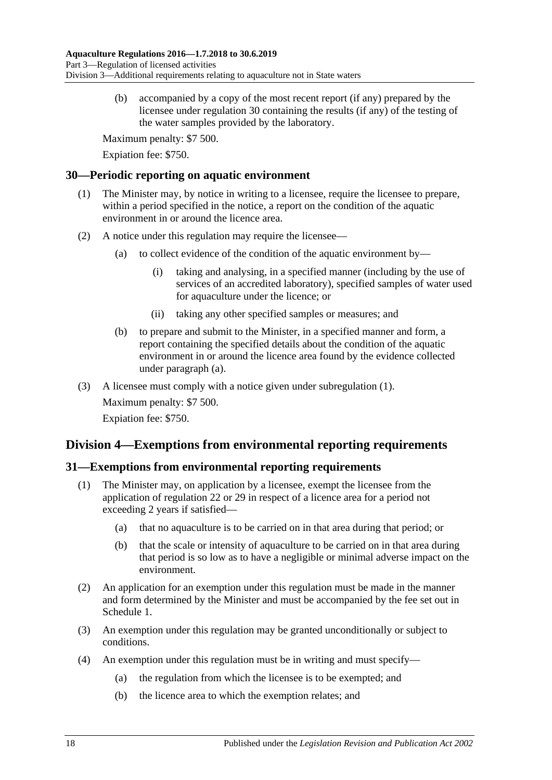(b) accompanied by a copy of the most recent report (if any) prepared by the licensee under [regulation](#page-17-0) 30 containing the results (if any) of the testing of the water samples provided by the laboratory.

Maximum penalty: \$7 500.

Expiation fee: \$750.

### <span id="page-17-4"></span><span id="page-17-0"></span>**30—Periodic reporting on aquatic environment**

- (1) The Minister may, by notice in writing to a licensee, require the licensee to prepare, within a period specified in the notice, a report on the condition of the aquatic environment in or around the licence area.
- <span id="page-17-3"></span>(2) A notice under this regulation may require the licensee—
	- (a) to collect evidence of the condition of the aquatic environment by—
		- (i) taking and analysing, in a specified manner (including by the use of services of an accredited laboratory), specified samples of water used for aquaculture under the licence; or
		- (ii) taking any other specified samples or measures; and
	- (b) to prepare and submit to the Minister, in a specified manner and form, a report containing the specified details about the condition of the aquatic environment in or around the licence area found by the evidence collected under [paragraph](#page-17-3) (a).
- (3) A licensee must comply with a notice given under [subregulation](#page-17-4) (1).

Maximum penalty: \$7 500. Expiation fee: \$750.

## <span id="page-17-1"></span>**Division 4—Exemptions from environmental reporting requirements**

## <span id="page-17-2"></span>**31—Exemptions from environmental reporting requirements**

- (1) The Minister may, on application by a licensee, exempt the licensee from the application of [regulation](#page-12-1) 22 or [29](#page-16-2) in respect of a licence area for a period not exceeding 2 years if satisfied—
	- (a) that no aquaculture is to be carried on in that area during that period; or
	- (b) that the scale or intensity of aquaculture to be carried on in that area during that period is so low as to have a negligible or minimal adverse impact on the environment.
- (2) An application for an exemption under this regulation must be made in the manner and form determined by the Minister and must be accompanied by the fee set out in Schedule 1.
- (3) An exemption under this regulation may be granted unconditionally or subject to conditions.
- (4) An exemption under this regulation must be in writing and must specify—
	- (a) the regulation from which the licensee is to be exempted; and
	- (b) the licence area to which the exemption relates; and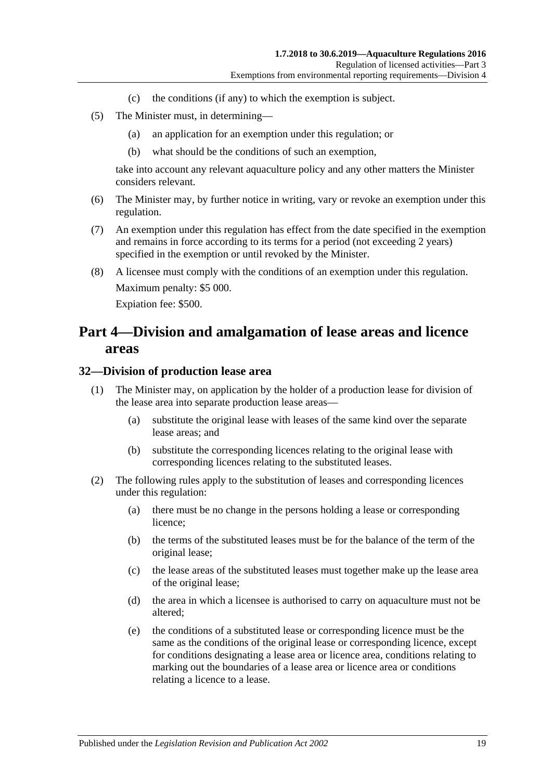- (c) the conditions (if any) to which the exemption is subject.
- (5) The Minister must, in determining—
	- (a) an application for an exemption under this regulation; or
	- (b) what should be the conditions of such an exemption,

take into account any relevant aquaculture policy and any other matters the Minister considers relevant.

- (6) The Minister may, by further notice in writing, vary or revoke an exemption under this regulation.
- (7) An exemption under this regulation has effect from the date specified in the exemption and remains in force according to its terms for a period (not exceeding 2 years) specified in the exemption or until revoked by the Minister.
- (8) A licensee must comply with the conditions of an exemption under this regulation. Maximum penalty: \$5 000. Expiation fee: \$500.

## <span id="page-18-0"></span>**Part 4—Division and amalgamation of lease areas and licence areas**

#### <span id="page-18-1"></span>**32—Division of production lease area**

- (1) The Minister may, on application by the holder of a production lease for division of the lease area into separate production lease areas—
	- (a) substitute the original lease with leases of the same kind over the separate lease areas; and
	- (b) substitute the corresponding licences relating to the original lease with corresponding licences relating to the substituted leases.
- (2) The following rules apply to the substitution of leases and corresponding licences under this regulation:
	- (a) there must be no change in the persons holding a lease or corresponding licence;
	- (b) the terms of the substituted leases must be for the balance of the term of the original lease;
	- (c) the lease areas of the substituted leases must together make up the lease area of the original lease;
	- (d) the area in which a licensee is authorised to carry on aquaculture must not be altered;
	- (e) the conditions of a substituted lease or corresponding licence must be the same as the conditions of the original lease or corresponding licence, except for conditions designating a lease area or licence area, conditions relating to marking out the boundaries of a lease area or licence area or conditions relating a licence to a lease.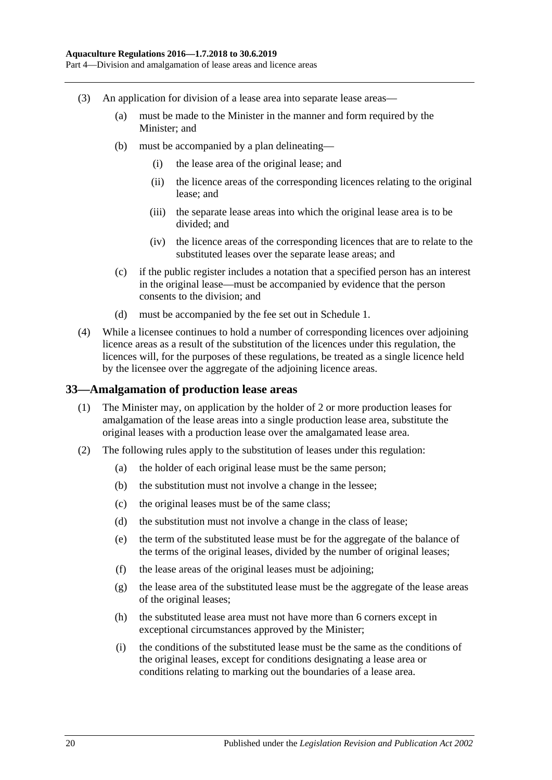- (3) An application for division of a lease area into separate lease areas—
	- (a) must be made to the Minister in the manner and form required by the Minister; and
	- (b) must be accompanied by a plan delineating—
		- (i) the lease area of the original lease; and
		- (ii) the licence areas of the corresponding licences relating to the original lease; and
		- (iii) the separate lease areas into which the original lease area is to be divided; and
		- (iv) the licence areas of the corresponding licences that are to relate to the substituted leases over the separate lease areas; and
	- (c) if the public register includes a notation that a specified person has an interest in the original lease—must be accompanied by evidence that the person consents to the division; and
	- (d) must be accompanied by the fee set out in Schedule 1.
- (4) While a licensee continues to hold a number of corresponding licences over adjoining licence areas as a result of the substitution of the licences under this regulation, the licences will, for the purposes of these regulations, be treated as a single licence held by the licensee over the aggregate of the adjoining licence areas.

#### <span id="page-19-0"></span>**33—Amalgamation of production lease areas**

- (1) The Minister may, on application by the holder of 2 or more production leases for amalgamation of the lease areas into a single production lease area, substitute the original leases with a production lease over the amalgamated lease area.
- <span id="page-19-1"></span>(2) The following rules apply to the substitution of leases under this regulation:
	- (a) the holder of each original lease must be the same person;
	- (b) the substitution must not involve a change in the lessee;
	- (c) the original leases must be of the same class;
	- (d) the substitution must not involve a change in the class of lease;
	- (e) the term of the substituted lease must be for the aggregate of the balance of the terms of the original leases, divided by the number of original leases;
	- (f) the lease areas of the original leases must be adjoining;
	- (g) the lease area of the substituted lease must be the aggregate of the lease areas of the original leases;
	- (h) the substituted lease area must not have more than 6 corners except in exceptional circumstances approved by the Minister;
	- (i) the conditions of the substituted lease must be the same as the conditions of the original leases, except for conditions designating a lease area or conditions relating to marking out the boundaries of a lease area.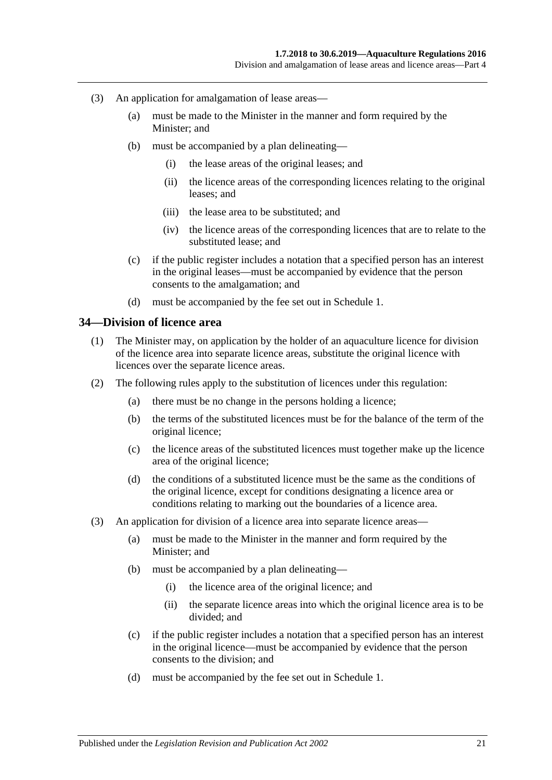- (3) An application for amalgamation of lease areas—
	- (a) must be made to the Minister in the manner and form required by the Minister; and
	- (b) must be accompanied by a plan delineating—
		- (i) the lease areas of the original leases; and
		- (ii) the licence areas of the corresponding licences relating to the original leases; and
		- (iii) the lease area to be substituted; and
		- (iv) the licence areas of the corresponding licences that are to relate to the substituted lease; and
	- (c) if the public register includes a notation that a specified person has an interest in the original leases—must be accompanied by evidence that the person consents to the amalgamation; and
	- (d) must be accompanied by the fee set out in Schedule 1.

#### <span id="page-20-0"></span>**34—Division of licence area**

- (1) The Minister may, on application by the holder of an aquaculture licence for division of the licence area into separate licence areas, substitute the original licence with licences over the separate licence areas.
- (2) The following rules apply to the substitution of licences under this regulation:
	- (a) there must be no change in the persons holding a licence;
	- (b) the terms of the substituted licences must be for the balance of the term of the original licence;
	- (c) the licence areas of the substituted licences must together make up the licence area of the original licence;
	- (d) the conditions of a substituted licence must be the same as the conditions of the original licence, except for conditions designating a licence area or conditions relating to marking out the boundaries of a licence area.
- (3) An application for division of a licence area into separate licence areas—
	- (a) must be made to the Minister in the manner and form required by the Minister; and
	- (b) must be accompanied by a plan delineating—
		- (i) the licence area of the original licence; and
		- (ii) the separate licence areas into which the original licence area is to be divided; and
	- (c) if the public register includes a notation that a specified person has an interest in the original licence—must be accompanied by evidence that the person consents to the division; and
	- (d) must be accompanied by the fee set out in Schedule 1.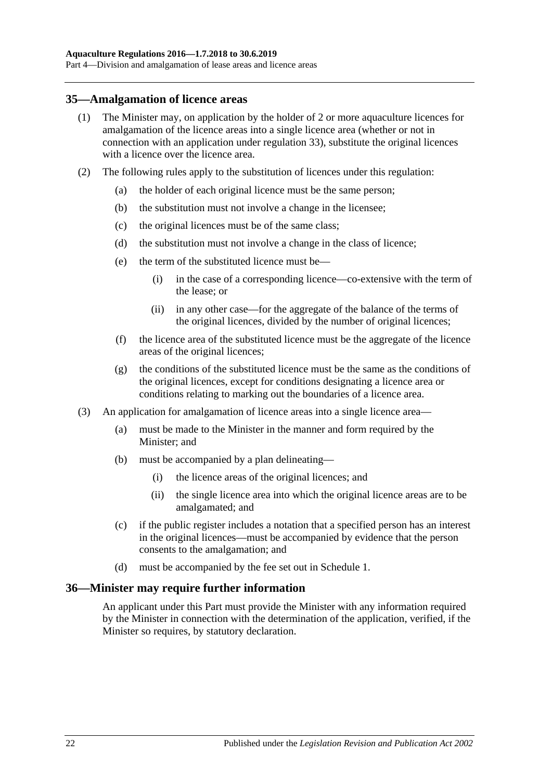#### <span id="page-21-0"></span>**35—Amalgamation of licence areas**

- (1) The Minister may, on application by the holder of 2 or more aquaculture licences for amalgamation of the licence areas into a single licence area (whether or not in connection with an application under [regulation](#page-19-0) 33), substitute the original licences with a licence over the licence area.
- (2) The following rules apply to the substitution of licences under this regulation:
	- (a) the holder of each original licence must be the same person;
	- (b) the substitution must not involve a change in the licensee;
	- (c) the original licences must be of the same class;
	- (d) the substitution must not involve a change in the class of licence;
	- (e) the term of the substituted licence must be—
		- (i) in the case of a corresponding licence—co-extensive with the term of the lease; or
		- (ii) in any other case—for the aggregate of the balance of the terms of the original licences, divided by the number of original licences;
	- (f) the licence area of the substituted licence must be the aggregate of the licence areas of the original licences;
	- (g) the conditions of the substituted licence must be the same as the conditions of the original licences, except for conditions designating a licence area or conditions relating to marking out the boundaries of a licence area.
- (3) An application for amalgamation of licence areas into a single licence area—
	- (a) must be made to the Minister in the manner and form required by the Minister; and
	- (b) must be accompanied by a plan delineating—
		- (i) the licence areas of the original licences; and
		- (ii) the single licence area into which the original licence areas are to be amalgamated; and
	- (c) if the public register includes a notation that a specified person has an interest in the original licences—must be accompanied by evidence that the person consents to the amalgamation; and
	- (d) must be accompanied by the fee set out in Schedule 1.

#### <span id="page-21-1"></span>**36—Minister may require further information**

An applicant under this Part must provide the Minister with any information required by the Minister in connection with the determination of the application, verified, if the Minister so requires, by statutory declaration.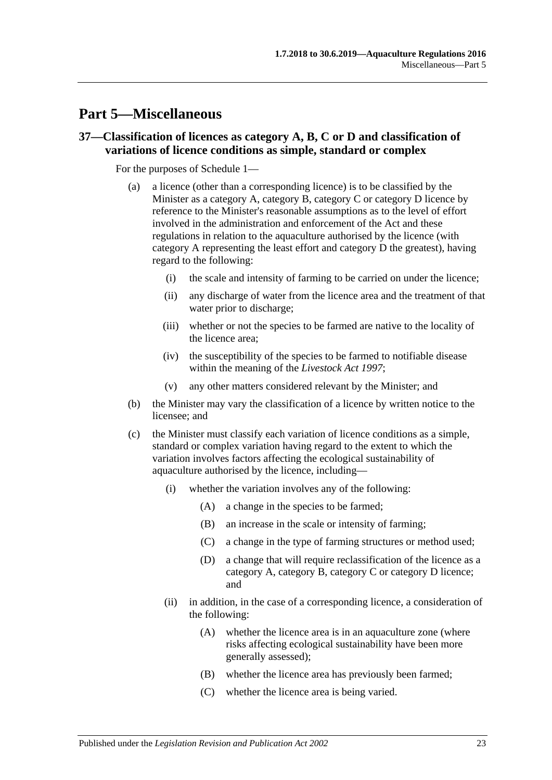## <span id="page-22-0"></span>**Part 5—Miscellaneous**

### <span id="page-22-1"></span>**37—Classification of licences as category A, B, C or D and classification of variations of licence conditions as simple, standard or complex**

For the purposes of Schedule 1—

- (a) a licence (other than a corresponding licence) is to be classified by the Minister as a category A, category B, category C or category D licence by reference to the Minister's reasonable assumptions as to the level of effort involved in the administration and enforcement of the Act and these regulations in relation to the aquaculture authorised by the licence (with category A representing the least effort and category D the greatest), having regard to the following:
	- (i) the scale and intensity of farming to be carried on under the licence;
	- (ii) any discharge of water from the licence area and the treatment of that water prior to discharge;
	- (iii) whether or not the species to be farmed are native to the locality of the licence area;
	- (iv) the susceptibility of the species to be farmed to notifiable disease within the meaning of the *[Livestock Act](http://www.legislation.sa.gov.au/index.aspx?action=legref&type=act&legtitle=Livestock%20Act%201997) 1997*;
	- (v) any other matters considered relevant by the Minister; and
- (b) the Minister may vary the classification of a licence by written notice to the licensee; and
- (c) the Minister must classify each variation of licence conditions as a simple, standard or complex variation having regard to the extent to which the variation involves factors affecting the ecological sustainability of aquaculture authorised by the licence, including—
	- (i) whether the variation involves any of the following:
		- (A) a change in the species to be farmed;
		- (B) an increase in the scale or intensity of farming;
		- (C) a change in the type of farming structures or method used;
		- (D) a change that will require reclassification of the licence as a category A, category B, category C or category D licence; and
	- (ii) in addition, in the case of a corresponding licence, a consideration of the following:
		- (A) whether the licence area is in an aquaculture zone (where risks affecting ecological sustainability have been more generally assessed);
		- (B) whether the licence area has previously been farmed;
		- (C) whether the licence area is being varied.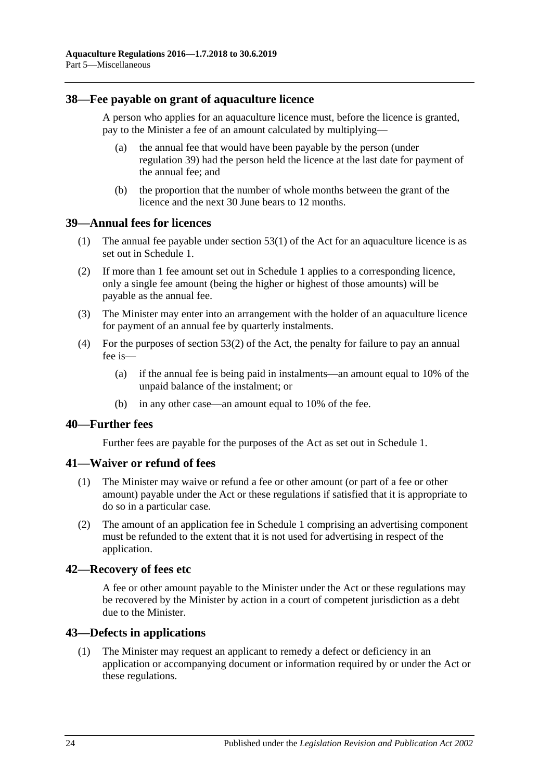#### <span id="page-23-0"></span>**38—Fee payable on grant of aquaculture licence**

A person who applies for an aquaculture licence must, before the licence is granted, pay to the Minister a fee of an amount calculated by multiplying—

- (a) the annual fee that would have been payable by the person (under [regulation](#page-23-1) 39) had the person held the licence at the last date for payment of the annual fee; and
- (b) the proportion that the number of whole months between the grant of the licence and the next 30 June bears to 12 months.

#### <span id="page-23-1"></span>**39—Annual fees for licences**

- (1) The annual fee payable under section 53(1) of the Act for an aquaculture licence is as set out in Schedule 1.
- (2) If more than 1 fee amount set out in Schedule 1 applies to a corresponding licence, only a single fee amount (being the higher or highest of those amounts) will be payable as the annual fee.
- (3) The Minister may enter into an arrangement with the holder of an aquaculture licence for payment of an annual fee by quarterly instalments.
- (4) For the purposes of section 53(2) of the Act, the penalty for failure to pay an annual fee is—
	- (a) if the annual fee is being paid in instalments—an amount equal to 10% of the unpaid balance of the instalment; or
	- (b) in any other case—an amount equal to 10% of the fee.

#### <span id="page-23-2"></span>**40—Further fees**

Further fees are payable for the purposes of the Act as set out in Schedule 1.

#### <span id="page-23-3"></span>**41—Waiver or refund of fees**

- (1) The Minister may waive or refund a fee or other amount (or part of a fee or other amount) payable under the Act or these regulations if satisfied that it is appropriate to do so in a particular case.
- (2) The amount of an application fee in Schedule 1 comprising an advertising component must be refunded to the extent that it is not used for advertising in respect of the application.

#### <span id="page-23-4"></span>**42—Recovery of fees etc**

A fee or other amount payable to the Minister under the Act or these regulations may be recovered by the Minister by action in a court of competent jurisdiction as a debt due to the Minister.

#### <span id="page-23-5"></span>**43—Defects in applications**

(1) The Minister may request an applicant to remedy a defect or deficiency in an application or accompanying document or information required by or under the Act or these regulations.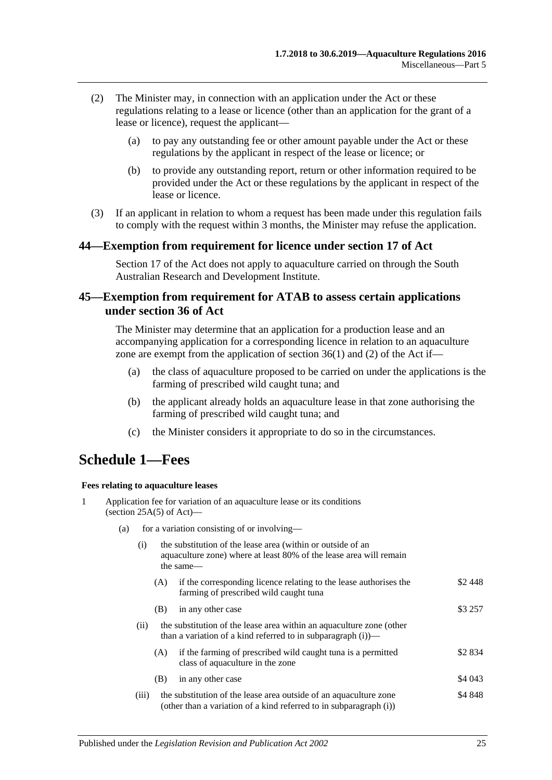- (2) The Minister may, in connection with an application under the Act or these regulations relating to a lease or licence (other than an application for the grant of a lease or licence), request the applicant—
	- (a) to pay any outstanding fee or other amount payable under the Act or these regulations by the applicant in respect of the lease or licence; or
	- (b) to provide any outstanding report, return or other information required to be provided under the Act or these regulations by the applicant in respect of the lease or licence.
- (3) If an applicant in relation to whom a request has been made under this regulation fails to comply with the request within 3 months, the Minister may refuse the application.

#### <span id="page-24-0"></span>**44—Exemption from requirement for licence under section 17 of Act**

Section 17 of the Act does not apply to aquaculture carried on through the South Australian Research and Development Institute.

#### <span id="page-24-1"></span>**45—Exemption from requirement for ATAB to assess certain applications under section 36 of Act**

The Minister may determine that an application for a production lease and an accompanying application for a corresponding licence in relation to an aquaculture zone are exempt from the application of section  $36(1)$  and (2) of the Act if—

- (a) the class of aquaculture proposed to be carried on under the applications is the farming of prescribed wild caught tuna; and
- (b) the applicant already holds an aquaculture lease in that zone authorising the farming of prescribed wild caught tuna; and
- (c) the Minister considers it appropriate to do so in the circumstances.

## <span id="page-24-2"></span>**Schedule 1—Fees**

#### **Fees relating to aquaculture leases**

|   |                                                    |       | <b>Fees relating to aquaculture leases</b>                                                                                                     |         |  |
|---|----------------------------------------------------|-------|------------------------------------------------------------------------------------------------------------------------------------------------|---------|--|
| 1 |                                                    |       | Application fee for variation of an aquaculture lease or its conditions<br>(section $25A(5)$ of Act)—                                          |         |  |
|   | for a variation consisting of or involving—<br>(a) |       |                                                                                                                                                |         |  |
|   |                                                    | (i)   | the substitution of the lease area (within or outside of an<br>aquaculture zone) where at least 80% of the lease area will remain<br>the same— |         |  |
|   |                                                    | (A)   | if the corresponding licence relating to the lease authorises the<br>farming of prescribed wild caught tuna                                    | \$2448  |  |
|   |                                                    | (B)   | in any other case                                                                                                                              | \$3 257 |  |
|   |                                                    | (ii)  | the substitution of the lease area within an aquaculture zone (other<br>than a variation of a kind referred to in subparagraph $(i)$ —         |         |  |
|   |                                                    | (A)   | if the farming of prescribed wild caught tuna is a permitted<br>class of aquaculture in the zone                                               | \$2 834 |  |
|   |                                                    | (B)   | in any other case                                                                                                                              | \$4 043 |  |
|   |                                                    | (iii) | the substitution of the lease area outside of an aquaculture zone<br>(other than a variation of a kind referred to in subparagraph (i))        | \$4848  |  |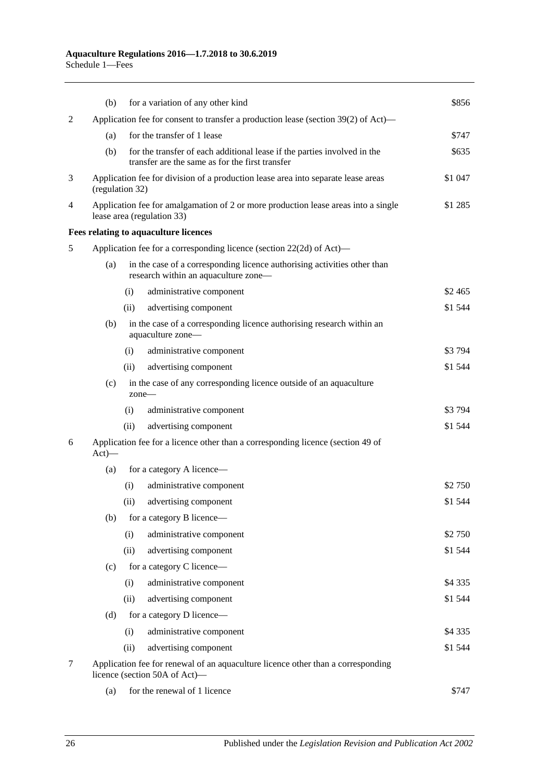|   | (b)                                                                                                               | for a variation of any other kind                                                                                           | \$856     |  |
|---|-------------------------------------------------------------------------------------------------------------------|-----------------------------------------------------------------------------------------------------------------------------|-----------|--|
| 2 | Application fee for consent to transfer a production lease (section 39(2) of Act)—                                |                                                                                                                             |           |  |
|   | (a)                                                                                                               | for the transfer of 1 lease                                                                                                 |           |  |
|   | (b)                                                                                                               | for the transfer of each additional lease if the parties involved in the<br>transfer are the same as for the first transfer | \$635     |  |
| 3 |                                                                                                                   | Application fee for division of a production lease area into separate lease areas<br>\$1 047<br>(regulation 32)             |           |  |
| 4 |                                                                                                                   | Application fee for amalgamation of 2 or more production lease areas into a single<br>lease area (regulation 33)            |           |  |
|   |                                                                                                                   | Fees relating to aquaculture licences                                                                                       |           |  |
| 5 | Application fee for a corresponding licence (section 22(2d) of Act)—                                              |                                                                                                                             |           |  |
|   | (a)                                                                                                               | in the case of a corresponding licence authorising activities other than<br>research within an aquaculture zone-            |           |  |
|   |                                                                                                                   | administrative component<br>(i)                                                                                             | \$2 465   |  |
|   |                                                                                                                   | advertising component<br>(ii)                                                                                               | \$1 544   |  |
|   | (b)                                                                                                               | in the case of a corresponding licence authorising research within an<br>aquaculture zone-                                  |           |  |
|   |                                                                                                                   | (i)<br>administrative component                                                                                             | \$3794    |  |
|   |                                                                                                                   | advertising component<br>(ii)                                                                                               | \$1 544   |  |
|   | (c)                                                                                                               | in the case of any corresponding licence outside of an aquaculture<br>$zone-$                                               |           |  |
|   |                                                                                                                   | administrative component<br>(i)                                                                                             | \$3794    |  |
|   |                                                                                                                   | advertising component<br>(ii)                                                                                               | \$1 544   |  |
| 6 | $Act)$ —                                                                                                          | Application fee for a licence other than a corresponding licence (section 49 of                                             |           |  |
|   | (a)                                                                                                               | for a category A licence—                                                                                                   |           |  |
|   |                                                                                                                   | (i)<br>administrative component                                                                                             | \$2 750   |  |
|   |                                                                                                                   | (ii)<br>advertising component                                                                                               | \$1 544   |  |
|   | (b)                                                                                                               | for a category B licence—                                                                                                   |           |  |
|   |                                                                                                                   | administrative component<br>(i)                                                                                             | \$2 750   |  |
|   |                                                                                                                   | (ii)<br>advertising component                                                                                               | \$1 544   |  |
|   | (c)                                                                                                               | for a category C licence—                                                                                                   |           |  |
|   |                                                                                                                   | (i)<br>administrative component                                                                                             | \$4 3 3 5 |  |
|   |                                                                                                                   | (ii)<br>advertising component                                                                                               | \$1 544   |  |
|   | (d)                                                                                                               | for a category D licence—                                                                                                   |           |  |
|   |                                                                                                                   | administrative component<br>(i)                                                                                             | \$4 3 3 5 |  |
|   |                                                                                                                   | (ii)<br>advertising component                                                                                               | \$1544    |  |
| 7 | Application fee for renewal of an aquaculture licence other than a corresponding<br>licence (section 50A of Act)- |                                                                                                                             |           |  |
|   | (a)                                                                                                               | for the renewal of 1 licence                                                                                                | \$747     |  |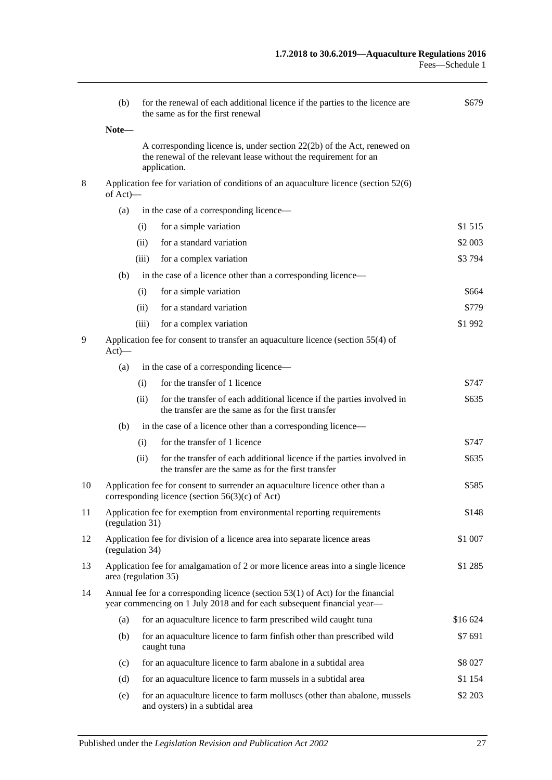|    | (b)                                                                                                                                                         |       | for the renewal of each additional licence if the parties to the licence are<br>the same as for the first renewal                                           | \$679    |  |
|----|-------------------------------------------------------------------------------------------------------------------------------------------------------------|-------|-------------------------------------------------------------------------------------------------------------------------------------------------------------|----------|--|
|    | Note-                                                                                                                                                       |       |                                                                                                                                                             |          |  |
|    |                                                                                                                                                             |       | A corresponding licence is, under section 22(2b) of the Act, renewed on<br>the renewal of the relevant lease without the requirement for an<br>application. |          |  |
| 8  | Application fee for variation of conditions of an aquaculture licence (section 52(6)<br>of Act)-                                                            |       |                                                                                                                                                             |          |  |
|    | (a)                                                                                                                                                         |       | in the case of a corresponding licence—                                                                                                                     |          |  |
|    |                                                                                                                                                             | (i)   | for a simple variation                                                                                                                                      | \$1 515  |  |
|    |                                                                                                                                                             | (ii)  | for a standard variation                                                                                                                                    | \$2 003  |  |
|    |                                                                                                                                                             | (iii) | for a complex variation                                                                                                                                     | \$3794   |  |
|    | (b)                                                                                                                                                         |       | in the case of a licence other than a corresponding licence-                                                                                                |          |  |
|    |                                                                                                                                                             | (i)   | for a simple variation                                                                                                                                      | \$664    |  |
|    |                                                                                                                                                             | (ii)  | for a standard variation                                                                                                                                    | \$779    |  |
|    |                                                                                                                                                             | (iii) | for a complex variation                                                                                                                                     | \$1992   |  |
| 9  | Application fee for consent to transfer an aquaculture licence (section 55(4) of<br>$Act)$ —                                                                |       |                                                                                                                                                             |          |  |
|    | (a)                                                                                                                                                         |       | in the case of a corresponding licence—                                                                                                                     |          |  |
|    |                                                                                                                                                             | (i)   | for the transfer of 1 licence                                                                                                                               | \$747    |  |
|    |                                                                                                                                                             | (ii)  | for the transfer of each additional licence if the parties involved in<br>the transfer are the same as for the first transfer                               | \$635    |  |
|    | (b)                                                                                                                                                         |       | in the case of a licence other than a corresponding licence—                                                                                                |          |  |
|    |                                                                                                                                                             | (i)   | for the transfer of 1 licence                                                                                                                               | \$747    |  |
|    |                                                                                                                                                             | (ii)  | for the transfer of each additional licence if the parties involved in<br>the transfer are the same as for the first transfer                               | \$635    |  |
| 10 | Application fee for consent to surrender an aquaculture licence other than a<br>corresponding licence (section $56(3)(c)$ of Act)                           |       | \$585                                                                                                                                                       |          |  |
| 11 | Application fee for exemption from environmental reporting requirements<br>(regulation 31)                                                                  |       | \$148                                                                                                                                                       |          |  |
| 12 | Application fee for division of a licence area into separate licence areas<br>(regulation 34)                                                               |       | \$1 007                                                                                                                                                     |          |  |
| 13 | Application fee for amalgamation of 2 or more licence areas into a single licence<br>area (regulation 35)                                                   |       | \$1 285                                                                                                                                                     |          |  |
| 14 | Annual fee for a corresponding licence (section $53(1)$ of Act) for the financial<br>year commencing on 1 July 2018 and for each subsequent financial year— |       |                                                                                                                                                             |          |  |
|    | (a)                                                                                                                                                         |       | for an aquaculture licence to farm prescribed wild caught tuna                                                                                              | \$16 624 |  |
|    | (b)                                                                                                                                                         |       | for an aquaculture licence to farm finfish other than prescribed wild<br>caught tuna                                                                        | \$7 691  |  |
|    | (c)                                                                                                                                                         |       | for an aquaculture licence to farm abalone in a subtidal area                                                                                               | \$8 027  |  |
|    | (d)                                                                                                                                                         |       | for an aquaculture licence to farm mussels in a subtidal area                                                                                               | \$1 154  |  |
|    | (e)                                                                                                                                                         |       | for an aquaculture licence to farm molluscs (other than abalone, mussels<br>and oysters) in a subtidal area                                                 | \$2 203  |  |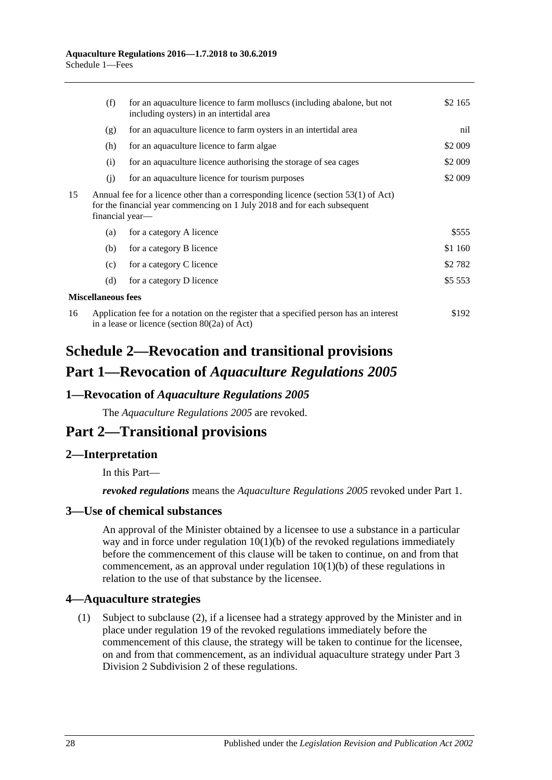|    | (f)                                                                                                                                                                               | for an aquaculture licence to farm molluscs (including abalone, but not<br>including oysters) in an intertidal area | \$2 165   |
|----|-----------------------------------------------------------------------------------------------------------------------------------------------------------------------------------|---------------------------------------------------------------------------------------------------------------------|-----------|
|    | (g)                                                                                                                                                                               | for an aquaculture licence to farm oysters in an intertidal area                                                    | nil       |
|    | (h)                                                                                                                                                                               | for an aquaculture licence to farm algae                                                                            | \$2 009   |
|    | (i)                                                                                                                                                                               | for an aquaculture licence authorising the storage of sea cages                                                     | \$2 009   |
|    | (j)                                                                                                                                                                               | for an aquaculture licence for tourism purposes                                                                     | \$2 009   |
| 15 | Annual fee for a licence other than a corresponding licence (section 53(1) of Act)<br>for the financial year commencing on 1 July 2018 and for each subsequent<br>financial year— |                                                                                                                     |           |
|    | (a)                                                                                                                                                                               | for a category A licence                                                                                            | \$555     |
|    | (b)                                                                                                                                                                               | for a category B licence                                                                                            | \$1 160   |
|    | (c)                                                                                                                                                                               | for a category C licence                                                                                            | \$2 782   |
|    | (d)                                                                                                                                                                               | for a category D licence                                                                                            | \$5 5 5 3 |
|    | <b>Miscellaneous fees</b>                                                                                                                                                         |                                                                                                                     |           |
| 16 | Application fee for a notation on the register that a specified person has an interest<br>\$192<br>in a lease or licence (section $80(2a)$ of Act)                                |                                                                                                                     |           |

# <span id="page-27-0"></span>**Schedule 2—Revocation and transitional provisions Part 1—Revocation of** *Aquaculture Regulations 2005*

### <span id="page-27-1"></span>**1—Revocation of** *Aquaculture Regulations 2005*

The *[Aquaculture Regulations](http://www.legislation.sa.gov.au/index.aspx?action=legref&type=subordleg&legtitle=Aquaculture%20Regulations%202005) 2005* are revoked.

## **Part 2—Transitional provisions**

### <span id="page-27-2"></span>**2—Interpretation**

In this Part—

*revoked regulations* means the *[Aquaculture Regulations](http://www.legislation.sa.gov.au/index.aspx?action=legref&type=subordleg&legtitle=Aquaculture%20Regulations%202005) 2005* revoked under Part 1.

### <span id="page-27-3"></span>**3—Use of chemical substances**

An approval of the Minister obtained by a licensee to use a substance in a particular way and in force under regulation  $10(1)(b)$  of the revoked regulations immediately before the commencement of this clause will be taken to continue, on and from that commencement, as an approval under [regulation](#page-5-6)  $10(1)(b)$  of these regulations in relation to the use of that substance by the licensee.

### <span id="page-27-4"></span>**4—Aquaculture strategies**

(1) Subject to [subclause](#page-28-4) (2), if a licensee had a strategy approved by the Minister and in place under regulation 19 of the revoked regulations immediately before the commencement of this clause, the strategy will be taken to continue for the licensee, on and from that commencement, as an individual aquaculture strategy under [Part](#page-10-3) 3 Division [2 Subdivision](#page-10-3) 2 of these regulations.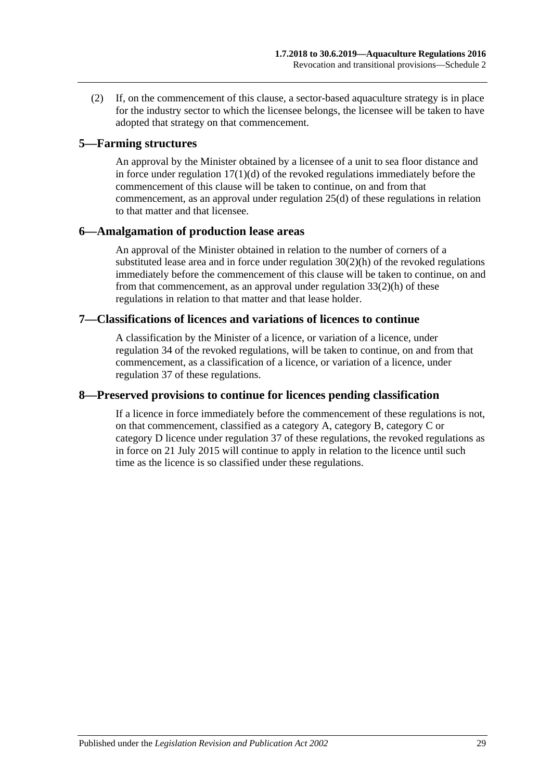<span id="page-28-4"></span>(2) If, on the commencement of this clause, a sector-based aquaculture strategy is in place for the industry sector to which the licensee belongs, the licensee will be taken to have adopted that strategy on that commencement.

#### <span id="page-28-0"></span>**5—Farming structures**

An approval by the Minister obtained by a licensee of a unit to sea floor distance and in force under regulation  $17(1)(d)$  of the revoked regulations immediately before the commencement of this clause will be taken to continue, on and from that commencement, as an approval under [regulation](#page-14-4) 25(d) of these regulations in relation to that matter and that licensee.

#### <span id="page-28-1"></span>**6—Amalgamation of production lease areas**

An approval of the Minister obtained in relation to the number of corners of a substituted lease area and in force under regulation 30(2)(h) of the revoked regulations immediately before the commencement of this clause will be taken to continue, on and from that commencement, as an approval under [regulation](#page-19-1) 33(2)(h) of these regulations in relation to that matter and that lease holder.

#### <span id="page-28-2"></span>**7—Classifications of licences and variations of licences to continue**

A classification by the Minister of a licence, or variation of a licence, under regulation 34 of the revoked regulations, will be taken to continue, on and from that commencement, as a classification of a licence, or variation of a licence, under [regulation](#page-22-1) 37 of these regulations.

## <span id="page-28-3"></span>**8—Preserved provisions to continue for licences pending classification**

If a licence in force immediately before the commencement of these regulations is not, on that commencement, classified as a category A, category B, category C or category D licence under [regulation](#page-22-1) 37 of these regulations, the revoked regulations as in force on 21 July 2015 will continue to apply in relation to the licence until such time as the licence is so classified under these regulations.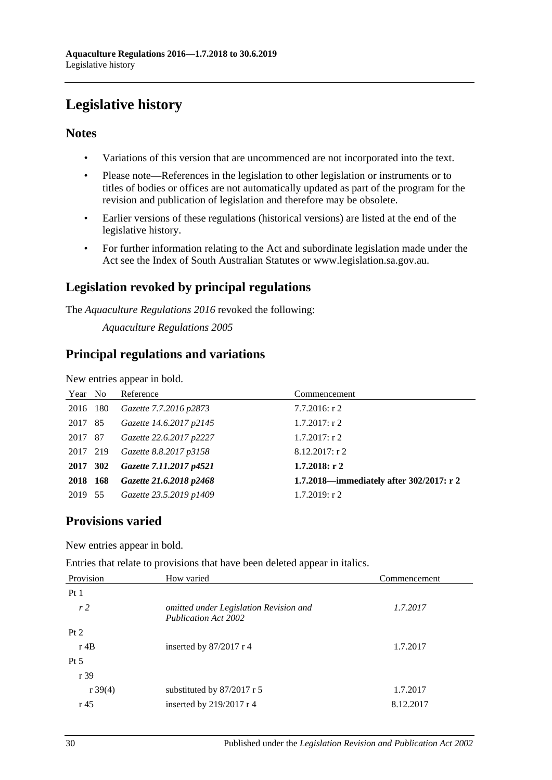# <span id="page-29-0"></span>**Legislative history**

## **Notes**

- Variations of this version that are uncommenced are not incorporated into the text.
- Please note—References in the legislation to other legislation or instruments or to titles of bodies or offices are not automatically updated as part of the program for the revision and publication of legislation and therefore may be obsolete.
- Earlier versions of these regulations (historical versions) are listed at the end of the legislative history.
- For further information relating to the Act and subordinate legislation made under the Act see the Index of South Australian Statutes or www.legislation.sa.gov.au.

## **Legislation revoked by principal regulations**

The *Aquaculture Regulations 2016* revoked the following:

*Aquaculture Regulations 2005*

## **Principal regulations and variations**

New entries appear in bold.

| Year No  | Reference               | Commencement                             |
|----------|-------------------------|------------------------------------------|
| 2016 180 | Gazette 7.7.2016 p2873  | $7.7.2016$ : r 2                         |
| 2017 85  | Gazette 14.6.2017 p2145 | $1.7.2017$ : r 2                         |
| 2017 87  | Gazette 22.6.2017 p2227 | $1.7.2017$ : r 2                         |
| 2017 219 | Gazette 8.8.2017 p3158  | $8.12.2017$ : r 2                        |
| 2017 302 | Gazette 7.11.2017 p4521 | $1.7.2018:$ r 2                          |
| 2018 168 | Gazette 21.6.2018 p2468 | 1.7.2018—immediately after 302/2017: r 2 |
| 2019 55  | Gazette 23.5.2019 p1409 | $1.7.2019$ : r 2                         |

## **Provisions varied**

New entries appear in bold.

Entries that relate to provisions that have been deleted appear in italics.

| Provision           | How varied                                                            | Commencement |
|---------------------|-----------------------------------------------------------------------|--------------|
| Pt1                 |                                                                       |              |
| r <sub>2</sub>      | omitted under Legislation Revision and<br><b>Publication Act 2002</b> | 1.7.2017     |
| Pt 2                |                                                                       |              |
| $r$ 4B              | inserted by $87/2017$ r 4                                             | 1.7.2017     |
| $Pt\,5$             |                                                                       |              |
| r 39                |                                                                       |              |
| $r \frac{39(4)}{2}$ | substituted by $87/2017$ r 5                                          | 1.7.2017     |
| r <sub>45</sub>     | inserted by $219/2017$ r 4                                            | 8.12.2017    |